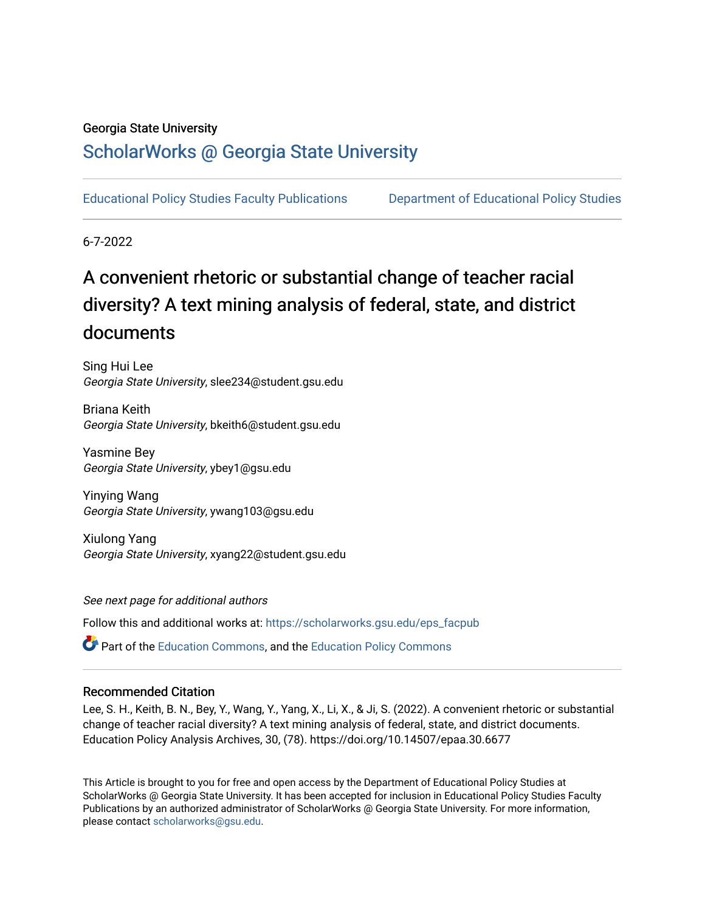### Georgia State University

# [ScholarWorks @ Georgia State University](https://scholarworks.gsu.edu/)

[Educational Policy Studies Faculty Publications](https://scholarworks.gsu.edu/eps_facpub) [Department of Educational Policy Studies](https://scholarworks.gsu.edu/eps) 

6-7-2022

# A convenient rhetoric or substantial change of teacher racial diversity? A text mining analysis of federal, state, and district documents

Sing Hui Lee Georgia State University, slee234@student.gsu.edu

Briana Keith Georgia State University, bkeith6@student.gsu.edu

Yasmine Bey Georgia State University, ybey1@gsu.edu

Yinying Wang Georgia State University, ywang103@gsu.edu

Xiulong Yang Georgia State University, xyang22@student.gsu.edu

See next page for additional authors

Follow this and additional works at: [https://scholarworks.gsu.edu/eps\\_facpub](https://scholarworks.gsu.edu/eps_facpub?utm_source=scholarworks.gsu.edu%2Feps_facpub%2F48&utm_medium=PDF&utm_campaign=PDFCoverPages) 

**P** Part of the [Education Commons](https://network.bepress.com/hgg/discipline/784?utm_source=scholarworks.gsu.edu%2Feps_facpub%2F48&utm_medium=PDF&utm_campaign=PDFCoverPages), and the [Education Policy Commons](https://network.bepress.com/hgg/discipline/1026?utm_source=scholarworks.gsu.edu%2Feps_facpub%2F48&utm_medium=PDF&utm_campaign=PDFCoverPages)

#### Recommended Citation

Lee, S. H., Keith, B. N., Bey, Y., Wang, Y., Yang, X., Li, X., & Ji, S. (2022). A convenient rhetoric or substantial change of teacher racial diversity? A text mining analysis of federal, state, and district documents. Education Policy Analysis Archives, 30, (78). https://doi.org/10.14507/epaa.30.6677

This Article is brought to you for free and open access by the Department of Educational Policy Studies at ScholarWorks @ Georgia State University. It has been accepted for inclusion in Educational Policy Studies Faculty Publications by an authorized administrator of ScholarWorks @ Georgia State University. For more information, please contact [scholarworks@gsu.edu.](mailto:scholarworks@gsu.edu)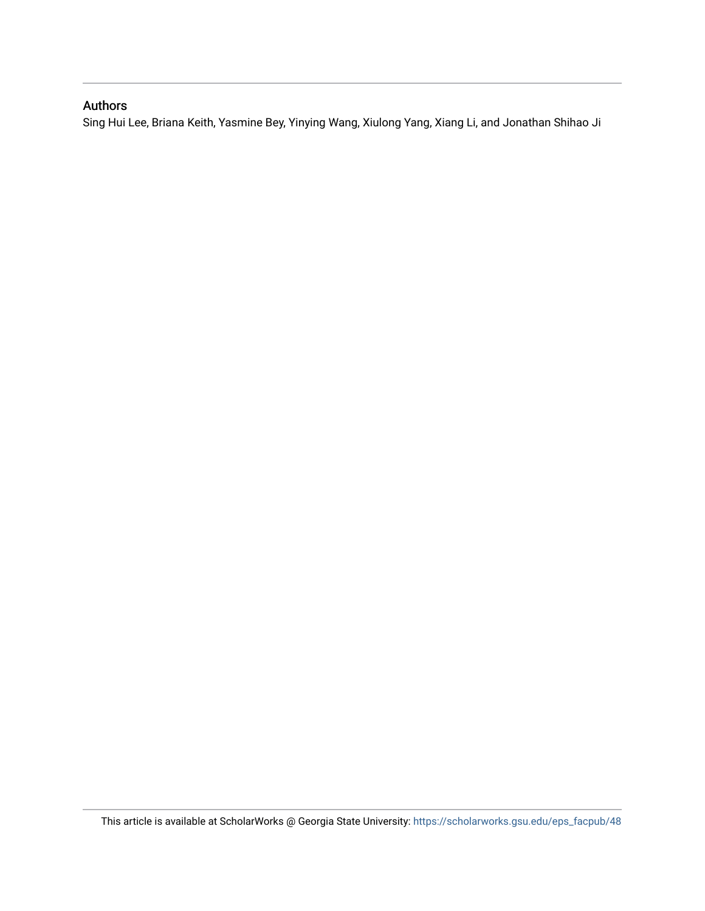# Authors

Sing Hui Lee, Briana Keith, Yasmine Bey, Yinying Wang, Xiulong Yang, Xiang Li, and Jonathan Shihao Ji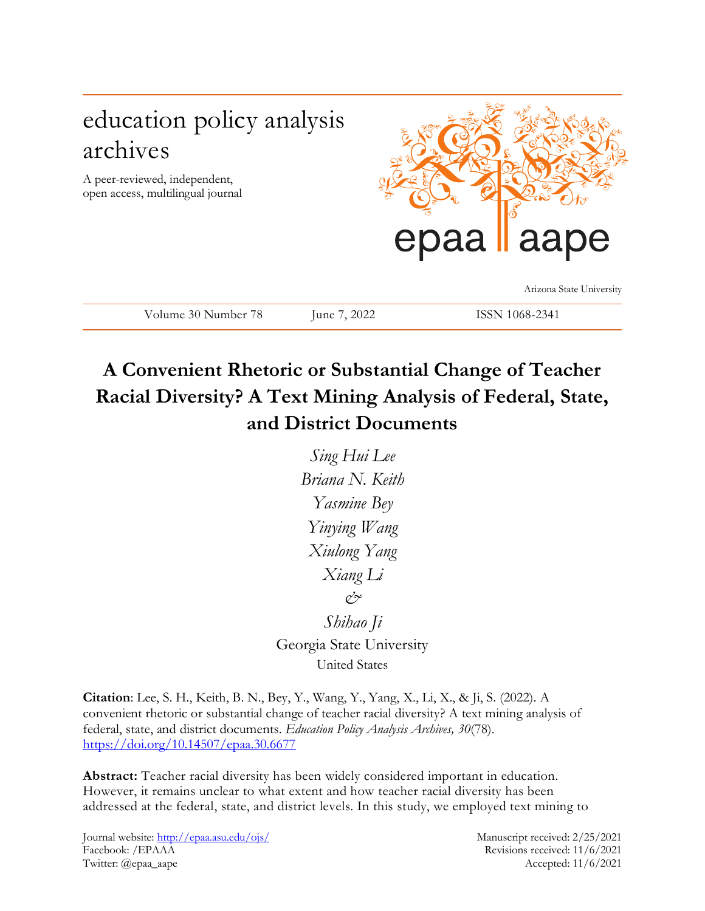# education policy analysis archives

A peer-reviewed, independent, open access, multilingual journal



Arizona State University

**A Convenient Rhetoric or Substantial Change of Teacher Racial Diversity? A Text Mining Analysis of Federal, State, and District Documents**

Volume 30 Number 78 June 7, 2022 ISSN 1068-2341

*Sing Hui Lee Briana N. Keith Yasmine Bey Yinying Wang Xiulong Yang Xiang Li & Shihao Ji* Georgia State University

United States

**Citation**: Lee, S. H., Keith, B. N., Bey, Y., Wang, Y., Yang, X., Li, X., & Ji, S. (2022). A convenient rhetoric or substantial change of teacher racial diversity? A text mining analysis of federal, state, and district documents. *Education Policy Analysis Archives, 30*(78). <https://doi.org/10.14507/epaa.30.6677>

**Abstract:** Teacher racial diversity has been widely considered important in education. However, it remains unclear to what extent and how teacher racial diversity has been addressed at the federal, state, and district levels. In this study, we employed text mining to

Journal website:<http://epaa.asu.edu/ojs/> Manuscript received: 2/25/2021 Facebook: /EPAAA Revisions received: 11/6/2021 Twitter: @epaa\_aape Accepted: 11/6/2021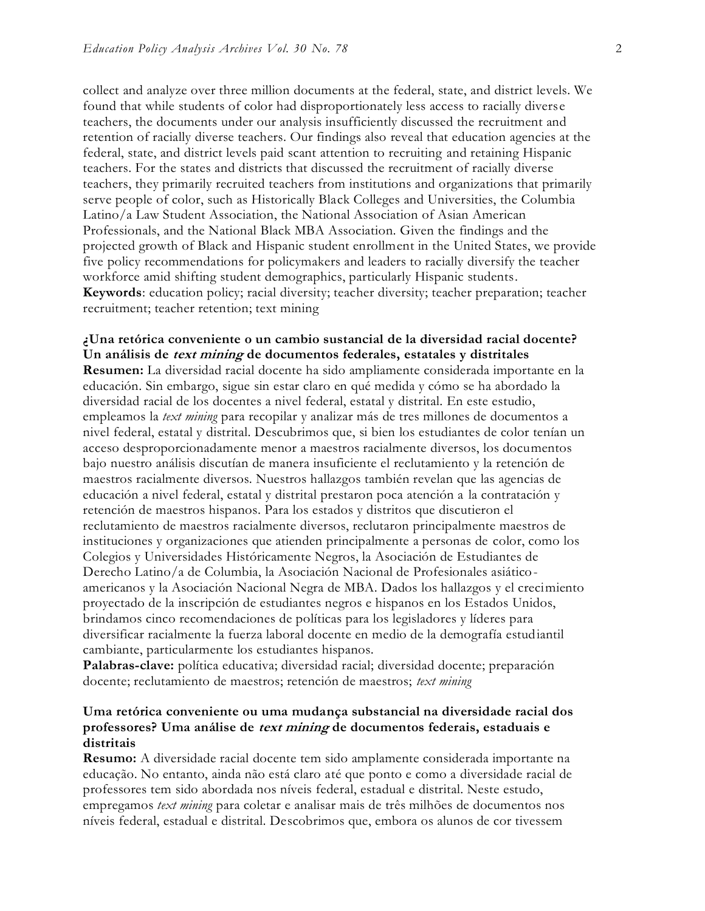collect and analyze over three million documents at the federal, state, and district levels. We found that while students of color had disproportionately less access to racially diverse teachers, the documents under our analysis insufficiently discussed the recruitment and retention of racially diverse teachers. Our findings also reveal that education agencies at the federal, state, and district levels paid scant attention to recruiting and retaining Hispanic teachers. For the states and districts that discussed the recruitment of racially diverse teachers, they primarily recruited teachers from institutions and organizations that primarily serve people of color, such as Historically Black Colleges and Universities, the Columbia Latino/a Law Student Association, the National Association of Asian American Professionals, and the National Black MBA Association. Given the findings and the projected growth of Black and Hispanic student enrollment in the United States, we provide five policy recommendations for policymakers and leaders to racially diversify the teacher workforce amid shifting student demographics, particularly Hispanic students. **Keywords**: education policy; racial diversity; teacher diversity; teacher preparation; teacher recruitment; teacher retention; text mining

#### **¿Una retórica conveniente o un cambio sustancial de la diversidad racial docente? Un análisis de text mining de documentos federales, estatales y distritales**

**Resumen:** La diversidad racial docente ha sido ampliamente considerada importante en la educación. Sin embargo, sigue sin estar claro en qué medida y cómo se ha abordado la diversidad racial de los docentes a nivel federal, estatal y distrital. En este estudio, empleamos la *text mining* para recopilar y analizar más de tres millones de documentos a nivel federal, estatal y distrital. Descubrimos que, si bien los estudiantes de color tenían un acceso desproporcionadamente menor a maestros racialmente diversos, los documentos bajo nuestro análisis discutían de manera insuficiente el reclutamiento y la retención de maestros racialmente diversos. Nuestros hallazgos también revelan que las agencias de educación a nivel federal, estatal y distrital prestaron poca atención a la contratación y retención de maestros hispanos. Para los estados y distritos que discutieron el reclutamiento de maestros racialmente diversos, reclutaron principalmente maestros de instituciones y organizaciones que atienden principalmente a personas de color, como los Colegios y Universidades Históricamente Negros, la Asociación de Estudiantes de Derecho Latino/a de Columbia, la Asociación Nacional de Profesionales asiáticoamericanos y la Asociación Nacional Negra de MBA. Dados los hallazgos y el crecimiento proyectado de la inscripción de estudiantes negros e hispanos en los Estados Unidos, brindamos cinco recomendaciones de políticas para los legisladores y líderes para diversificar racialmente la fuerza laboral docente en medio de la demografía estudiantil cambiante, particularmente los estudiantes hispanos.

**Palabras-clave:** política educativa; diversidad racial; diversidad docente; preparación docente; reclutamiento de maestros; retención de maestros; *text mining*

### **Uma retórica conveniente ou uma mudança substancial na diversidade racial dos professores? Uma análise de text mining de documentos federais, estaduais e distritais**

**Resumo:** A diversidade racial docente tem sido amplamente considerada importante na educação. No entanto, ainda não está claro até que ponto e como a diversidade racial de professores tem sido abordada nos níveis federal, estadual e distrital. Neste estudo, empregamos *text mining* para coletar e analisar mais de três milhões de documentos nos níveis federal, estadual e distrital. Descobrimos que, embora os alunos de cor tivessem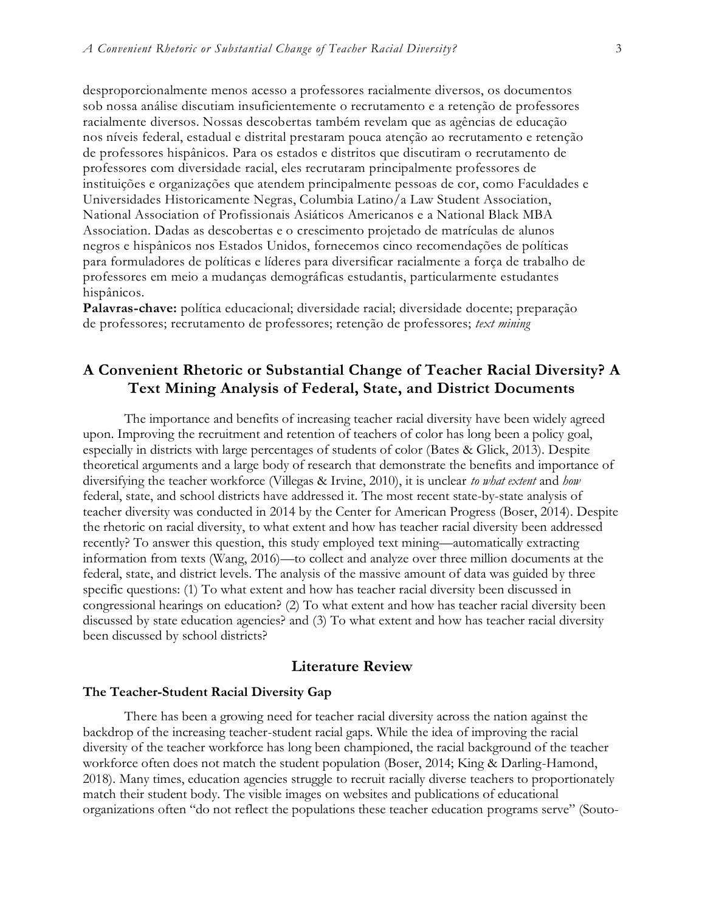desproporcionalmente menos acesso a professores racialmente diversos, os documentos sob nossa análise discutiam insuficientemente o recrutamento e a retenção de professores racialmente diversos. Nossas descobertas também revelam que as agências de educação nos níveis federal, estadual e distrital prestaram pouca atenção ao recrutamento e retenção de professores hispânicos. Para os estados e distritos que discutiram o recrutamento de professores com diversidade racial, eles recrutaram principalmente professores de instituições e organizações que atendem principalmente pessoas de cor, como Faculdades e Universidades Historicamente Negras, Columbia Latino/a Law Student Association, National Association of Profissionais Asiáticos Americanos e a National Black MBA Association. Dadas as descobertas e o crescimento projetado de matrículas de alunos negros e hispânicos nos Estados Unidos, fornecemos cinco recomendações de políticas para formuladores de políticas e líderes para diversificar racialmente a força de trabalho de professores em meio a mudanças demográficas estudantis, particularmente estudantes hispânicos.

**Palavras-chave:** política educacional; diversidade racial; diversidade docente; preparação de professores; recrutamento de professores; retenção de professores; *text mining*

# **A Convenient Rhetoric or Substantial Change of Teacher Racial Diversity? A Text Mining Analysis of Federal, State, and District Documents**

The importance and benefits of increasing teacher racial diversity have been widely agreed upon. Improving the recruitment and retention of teachers of color has long been a policy goal, especially in districts with large percentages of students of color (Bates & Glick, 2013). Despite theoretical arguments and a large body of research that demonstrate the benefits and importance of diversifying the teacher workforce (Villegas & Irvine, 2010), it is unclear *to what extent* and *how* federal, state, and school districts have addressed it. The most recent state-by-state analysis of teacher diversity was conducted in 2014 by the Center for American Progress (Boser, 2014). Despite the rhetoric on racial diversity, to what extent and how has teacher racial diversity been addressed recently? To answer this question, this study employed text mining—automatically extracting information from texts (Wang, 2016)—to collect and analyze over three million documents at the federal, state, and district levels. The analysis of the massive amount of data was guided by three specific questions: (1) To what extent and how has teacher racial diversity been discussed in congressional hearings on education? (2) To what extent and how has teacher racial diversity been discussed by state education agencies? and (3) To what extent and how has teacher racial diversity been discussed by school districts?

## **Literature Review**

#### **The Teacher-Student Racial Diversity Gap**

There has been a growing need for teacher racial diversity across the nation against the backdrop of the increasing teacher-student racial gaps. While the idea of improving the racial diversity of the teacher workforce has long been championed, the racial background of the teacher workforce often does not match the student population (Boser, 2014; King & Darling-Hamond, 2018). Many times, education agencies struggle to recruit racially diverse teachers to proportionately match their student body. The visible images on websites and publications of educational organizations often "do not reflect the populations these teacher education programs serve" (Souto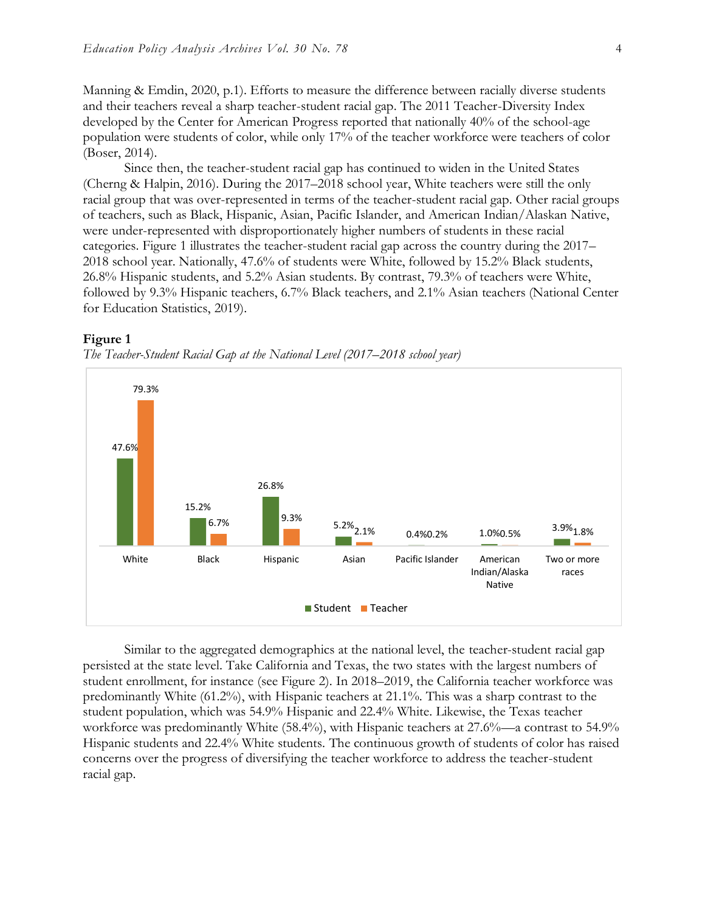Manning & Emdin, 2020, p.1). Efforts to measure the difference between racially diverse students and their teachers reveal a sharp teacher-student racial gap. The 2011 Teacher-Diversity Index developed by the Center for American Progress reported that nationally 40% of the school-age population were students of color, while only 17% of the teacher workforce were teachers of color (Boser, 2014).

Since then, the teacher-student racial gap has continued to widen in the United States (Cherng & Halpin, 2016). During the 2017–2018 school year, White teachers were still the only racial group that was over-represented in terms of the teacher-student racial gap. Other racial groups of teachers, such as Black, Hispanic, Asian, Pacific Islander, and American Indian/Alaskan Native, were under-represented with disproportionately higher numbers of students in these racial categories. Figure 1 illustrates the teacher-student racial gap across the country during the 2017– 2018 school year. Nationally, 47.6% of students were White, followed by 15.2% Black students, 26.8% Hispanic students, and 5.2% Asian students. By contrast, 79.3% of teachers were White, followed by 9.3% Hispanic teachers, 6.7% Black teachers, and 2.1% Asian teachers (National Center for Education Statistics, 2019).



#### **Figure 1**

Similar to the aggregated demographics at the national level, the teacher-student racial gap persisted at the state level. Take California and Texas, the two states with the largest numbers of student enrollment, for instance (see Figure 2). In 2018–2019, the California teacher workforce was predominantly White (61.2%), with Hispanic teachers at 21.1%. This was a sharp contrast to the student population, which was 54.9% Hispanic and 22.4% White. Likewise, the Texas teacher workforce was predominantly White (58.4%), with Hispanic teachers at 27.6%—a contrast to 54.9% Hispanic students and 22.4% White students. The continuous growth of students of color has raised concerns over the progress of diversifying the teacher workforce to address the teacher-student racial gap.

*The Teacher-Student Racial Gap at the National Level (2017–2018 school year)*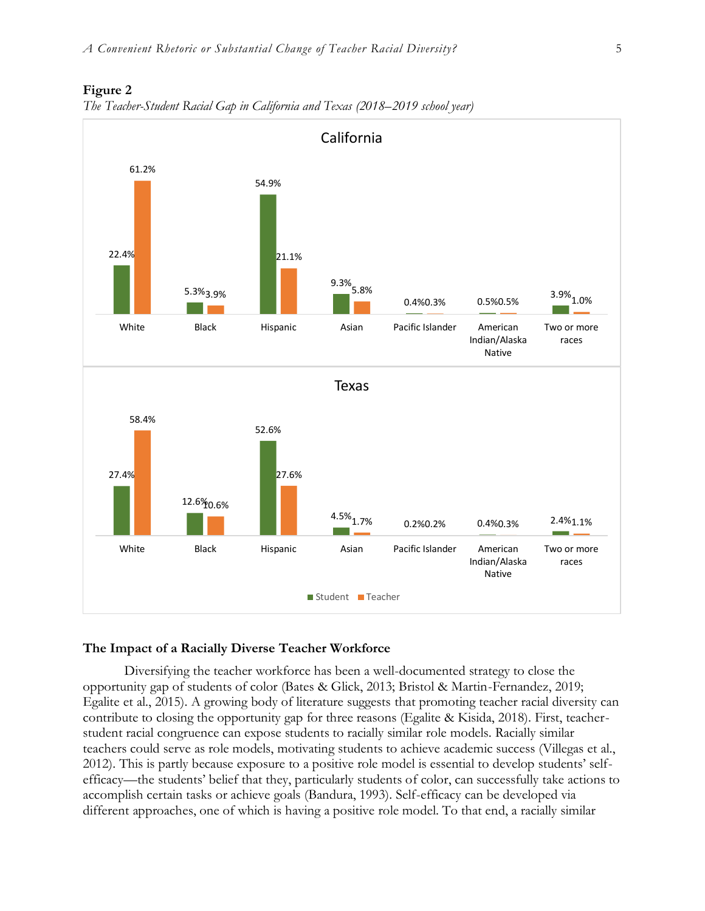

#### **Figure 2**



#### **The Impact of a Racially Diverse Teacher Workforce**

Diversifying the teacher workforce has been a well-documented strategy to close the opportunity gap of students of color (Bates & Glick, 2013; Bristol & Martin-Fernandez, 2019; Egalite et al., 2015). A growing body of literature suggests that promoting teacher racial diversity can contribute to closing the opportunity gap for three reasons (Egalite & Kisida, 2018). First, teacherstudent racial congruence can expose students to racially similar role models. Racially similar teachers could serve as role models, motivating students to achieve academic success (Villegas et al., 2012). This is partly because exposure to a positive role model is essential to develop students' selfefficacy—the students' belief that they, particularly students of color, can successfully take actions to accomplish certain tasks or achieve goals (Bandura, 1993). Self-efficacy can be developed via different approaches, one of which is having a positive role model. To that end, a racially similar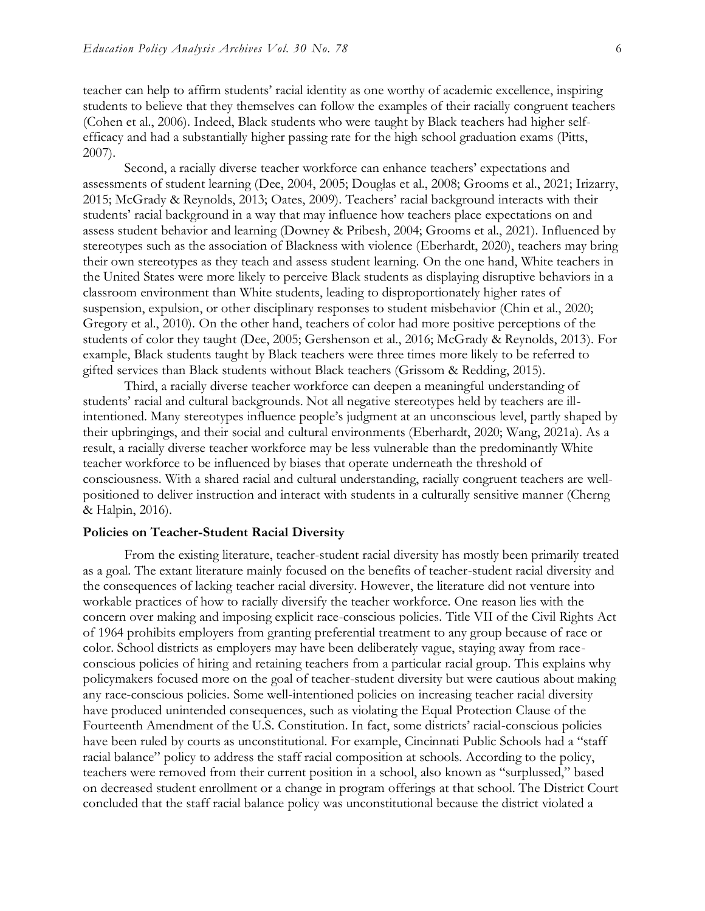teacher can help to affirm students' racial identity as one worthy of academic excellence, inspiring students to believe that they themselves can follow the examples of their racially congruent teachers (Cohen et al., 2006). Indeed, Black students who were taught by Black teachers had higher selfefficacy and had a substantially higher passing rate for the high school graduation exams (Pitts, 2007).

Second, a racially diverse teacher workforce can enhance teachers' expectations and assessments of student learning (Dee, 2004, 2005; Douglas et al., 2008; Grooms et al., 2021; Irizarry, 2015; McGrady & Reynolds, 2013; Oates, 2009). Teachers' racial background interacts with their students' racial background in a way that may influence how teachers place expectations on and assess student behavior and learning (Downey & Pribesh, 2004; Grooms et al., 2021). Influenced by stereotypes such as the association of Blackness with violence (Eberhardt, 2020), teachers may bring their own stereotypes as they teach and assess student learning. On the one hand, White teachers in the United States were more likely to perceive Black students as displaying disruptive behaviors in a classroom environment than White students, leading to disproportionately higher rates of suspension, expulsion, or other disciplinary responses to student misbehavior (Chin et al., 2020; Gregory et al., 2010). On the other hand, teachers of color had more positive perceptions of the students of color they taught (Dee, 2005; Gershenson et al., 2016; McGrady & Reynolds, 2013). For example, Black students taught by Black teachers were three times more likely to be referred to gifted services than Black students without Black teachers (Grissom & Redding, 2015).

Third, a racially diverse teacher workforce can deepen a meaningful understanding of students' racial and cultural backgrounds. Not all negative stereotypes held by teachers are illintentioned. Many stereotypes influence people's judgment at an unconscious level, partly shaped by their upbringings, and their social and cultural environments (Eberhardt, 2020; Wang, 2021a). As a result, a racially diverse teacher workforce may be less vulnerable than the predominantly White teacher workforce to be influenced by biases that operate underneath the threshold of consciousness. With a shared racial and cultural understanding, racially congruent teachers are wellpositioned to deliver instruction and interact with students in a culturally sensitive manner (Cherng & Halpin, 2016).

#### **Policies on Teacher-Student Racial Diversity**

From the existing literature, teacher-student racial diversity has mostly been primarily treated as a goal. The extant literature mainly focused on the benefits of teacher-student racial diversity and the consequences of lacking teacher racial diversity. However, the literature did not venture into workable practices of how to racially diversify the teacher workforce. One reason lies with the concern over making and imposing explicit race-conscious policies. Title VII of the Civil Rights Act of 1964 prohibits employers from granting preferential treatment to any group because of race or color. School districts as employers may have been deliberately vague, staying away from raceconscious policies of hiring and retaining teachers from a particular racial group. This explains why policymakers focused more on the goal of teacher-student diversity but were cautious about making any race-conscious policies. Some well-intentioned policies on increasing teacher racial diversity have produced unintended consequences, such as violating the Equal Protection Clause of the Fourteenth Amendment of the U.S. Constitution. In fact, some districts' racial-conscious policies have been ruled by courts as unconstitutional. For example, Cincinnati Public Schools had a "staff racial balance" policy to address the staff racial composition at schools. According to the policy, teachers were removed from their current position in a school, also known as "surplussed," based on decreased student enrollment or a change in program offerings at that school. The District Court concluded that the staff racial balance policy was unconstitutional because the district violated a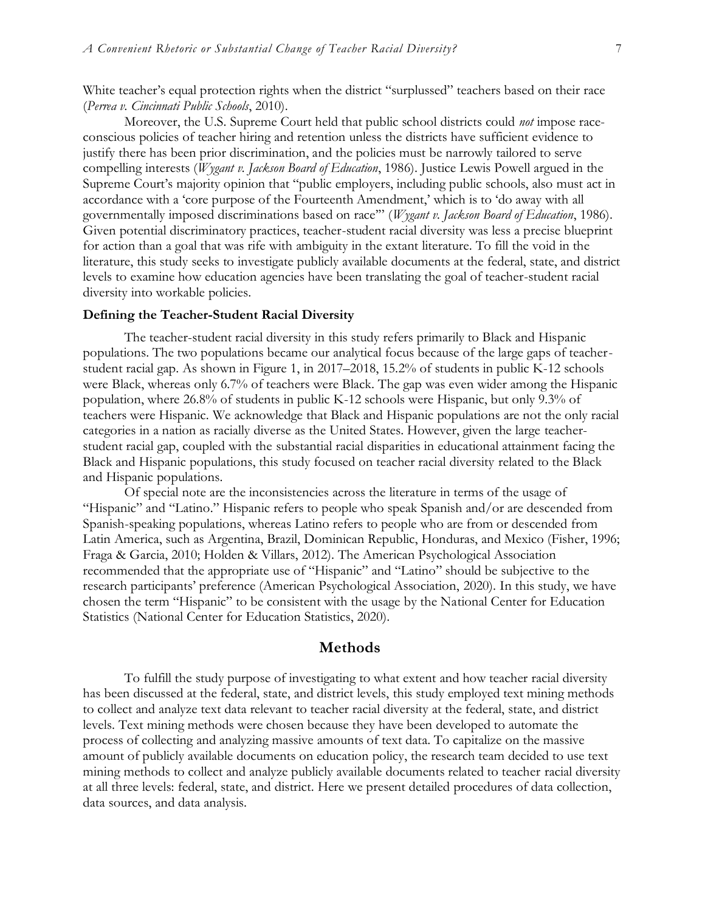White teacher's equal protection rights when the district "surplussed" teachers based on their race (*Perrea v. Cincinnati Public Schools*, 2010).

Moreover, the U.S. Supreme Court held that public school districts could *not* impose raceconscious policies of teacher hiring and retention unless the districts have sufficient evidence to justify there has been prior discrimination, and the policies must be narrowly tailored to serve compelling interests (*Wygant v. Jackson Board of Education*, 1986). Justice Lewis Powell argued in the Supreme Court's majority opinion that "public employers, including public schools, also must act in accordance with a 'core purpose of the Fourteenth Amendment,' which is to 'do away with all governmentally imposed discriminations based on race'" (*Wygant v. Jackson Board of Education*, 1986). Given potential discriminatory practices, teacher-student racial diversity was less a precise blueprint for action than a goal that was rife with ambiguity in the extant literature. To fill the void in the literature, this study seeks to investigate publicly available documents at the federal, state, and district levels to examine how education agencies have been translating the goal of teacher-student racial diversity into workable policies.

#### **Defining the Teacher-Student Racial Diversity**

The teacher-student racial diversity in this study refers primarily to Black and Hispanic populations. The two populations became our analytical focus because of the large gaps of teacherstudent racial gap. As shown in Figure 1, in 2017–2018, 15.2% of students in public K-12 schools were Black, whereas only 6.7% of teachers were Black. The gap was even wider among the Hispanic population, where 26.8% of students in public K-12 schools were Hispanic, but only 9.3% of teachers were Hispanic. We acknowledge that Black and Hispanic populations are not the only racial categories in a nation as racially diverse as the United States. However, given the large teacherstudent racial gap, coupled with the substantial racial disparities in educational attainment facing the Black and Hispanic populations, this study focused on teacher racial diversity related to the Black and Hispanic populations.

Of special note are the inconsistencies across the literature in terms of the usage of "Hispanic" and "Latino." Hispanic refers to people who speak Spanish and/or are descended from Spanish-speaking populations, whereas Latino refers to people who are from or descended from Latin America, such as Argentina, Brazil, Dominican Republic, Honduras, and Mexico (Fisher, 1996; Fraga & Garcia, 2010; Holden & Villars, 2012). The American Psychological Association recommended that the appropriate use of "Hispanic" and "Latino" should be subjective to the research participants' preference (American Psychological Association, 2020). In this study, we have chosen the term "Hispanic" to be consistent with the usage by the National Center for Education Statistics (National Center for Education Statistics, 2020).

#### **Methods**

To fulfill the study purpose of investigating to what extent and how teacher racial diversity has been discussed at the federal, state, and district levels, this study employed text mining methods to collect and analyze text data relevant to teacher racial diversity at the federal, state, and district levels. Text mining methods were chosen because they have been developed to automate the process of collecting and analyzing massive amounts of text data. To capitalize on the massive amount of publicly available documents on education policy, the research team decided to use text mining methods to collect and analyze publicly available documents related to teacher racial diversity at all three levels: federal, state, and district. Here we present detailed procedures of data collection, data sources, and data analysis.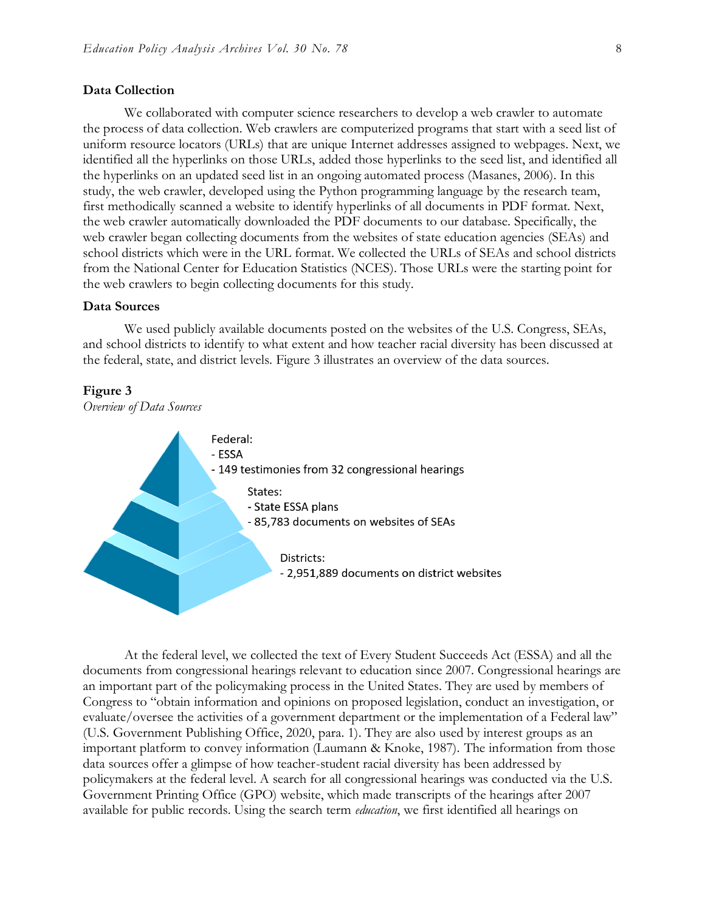#### **Data Collection**

We collaborated with computer science researchers to develop a web crawler to automate the process of data collection. Web crawlers are computerized programs that start with a seed list of uniform resource locators (URLs) that are unique Internet addresses assigned to webpages. Next, we identified all the hyperlinks on those URLs, added those hyperlinks to the seed list, and identified all the hyperlinks on an updated seed list in an ongoing automated process (Masanes, 2006). In this study, the web crawler, developed using the Python programming language by the research team, first methodically scanned a website to identify hyperlinks of all documents in PDF format. Next, the web crawler automatically downloaded the PDF documents to our database. Specifically, the web crawler began collecting documents from the websites of state education agencies (SEAs) and school districts which were in the URL format. We collected the URLs of SEAs and school districts from the National Center for Education Statistics (NCES). Those URLs were the starting point for the web crawlers to begin collecting documents for this study.

#### **Data Sources**

We used publicly available documents posted on the websites of the U.S. Congress, SEAs, and school districts to identify to what extent and how teacher racial diversity has been discussed at the federal, state, and district levels. Figure 3 illustrates an overview of the data sources.



#### **Figure 3**

At the federal level, we collected the text of Every Student Succeeds Act (ESSA) and all the documents from congressional hearings relevant to education since 2007. Congressional hearings are an important part of the policymaking process in the United States. They are used by members of Congress to "obtain information and opinions on proposed legislation, conduct an investigation, or evaluate/oversee the activities of a government department or the implementation of a Federal law" (U.S. Government Publishing Office, 2020, para. 1). They are also used by interest groups as an important platform to convey information (Laumann & Knoke, 1987). The information from those data sources offer a glimpse of how teacher-student racial diversity has been addressed by policymakers at the federal level. A search for all congressional hearings was conducted via the U.S. Government Printing Office (GPO) website, which made transcripts of the hearings after 2007 available for public records. Using the search term *education*, we first identified all hearings on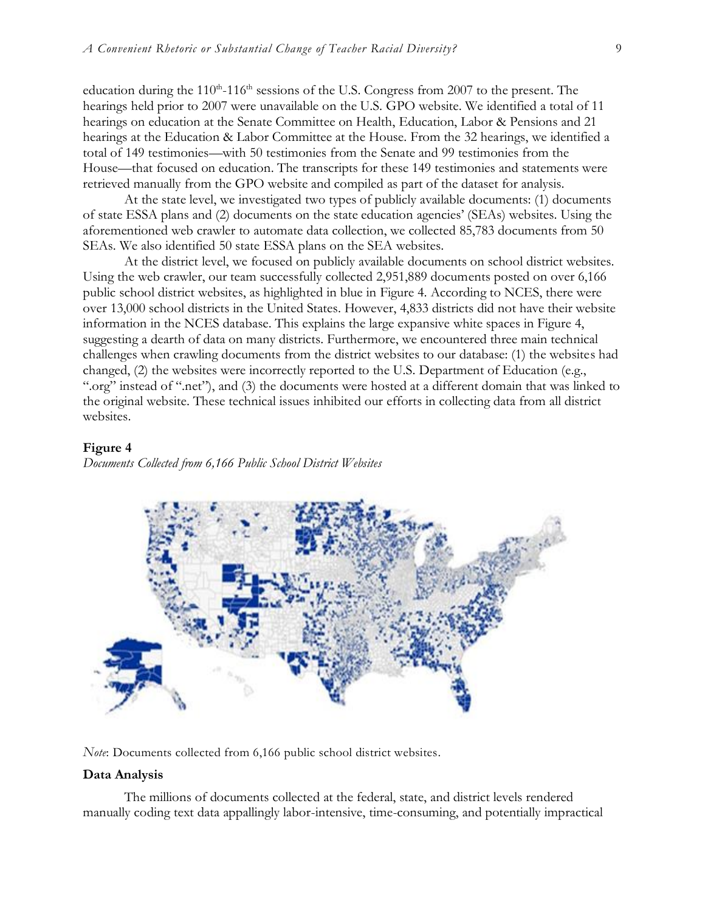education during the  $110^{th}$ - $116^{th}$  sessions of the U.S. Congress from 2007 to the present. The hearings held prior to 2007 were unavailable on the U.S. GPO website. We identified a total of 11 hearings on education at the Senate Committee on Health, Education, Labor & Pensions and 21 hearings at the Education & Labor Committee at the House. From the 32 hearings, we identified a total of 149 testimonies—with 50 testimonies from the Senate and 99 testimonies from the House—that focused on education. The transcripts for these 149 testimonies and statements were retrieved manually from the GPO website and compiled as part of the dataset for analysis.

At the state level, we investigated two types of publicly available documents: (1) documents of state ESSA plans and (2) documents on the state education agencies' (SEAs) websites. Using the aforementioned web crawler to automate data collection, we collected 85,783 documents from 50 SEAs. We also identified 50 state ESSA plans on the SEA websites.

At the district level, we focused on publicly available documents on school district websites. Using the web crawler, our team successfully collected 2,951,889 documents posted on over 6,166 public school district websites, as highlighted in blue in Figure 4. According to NCES, there were over 13,000 school districts in the United States. However, 4,833 districts did not have their website information in the NCES database. This explains the large expansive white spaces in Figure 4, suggesting a dearth of data on many districts. Furthermore, we encountered three main technical challenges when crawling documents from the district websites to our database: (1) the websites had changed, (2) the websites were incorrectly reported to the U.S. Department of Education (e.g., ".org" instead of ".net"), and (3) the documents were hosted at a different domain that was linked to the original website. These technical issues inhibited our efforts in collecting data from all district websites.

#### **Figure 4**

*Documents Collected from 6,166 Public School District Websites*



*Note*: Documents collected from 6,166 public school district websites.

#### **Data Analysis**

The millions of documents collected at the federal, state, and district levels rendered manually coding text data appallingly labor-intensive, time-consuming, and potentially impractical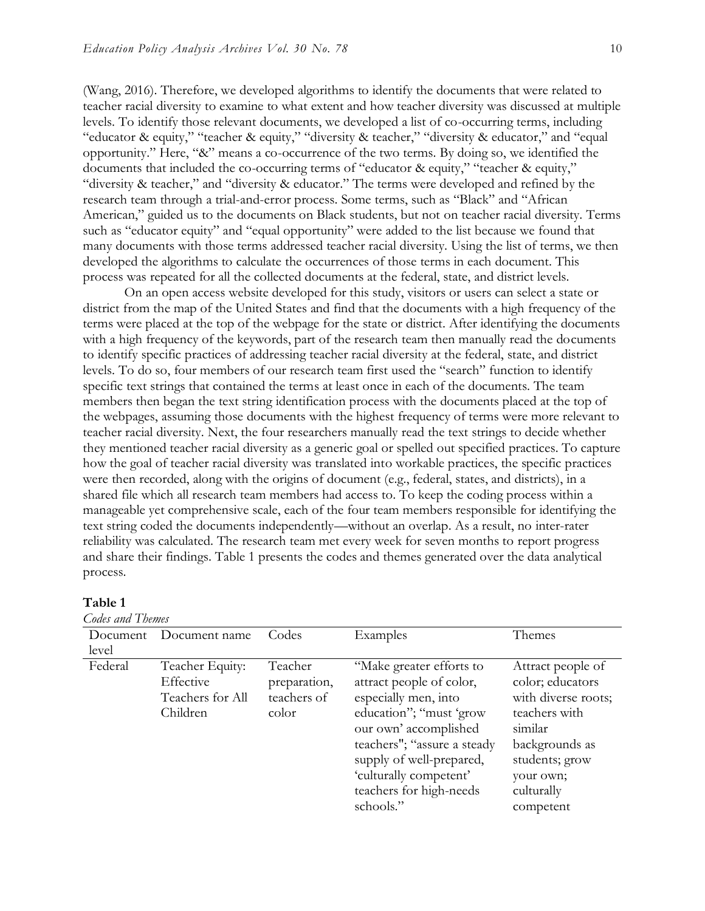(Wang, 2016). Therefore, we developed algorithms to identify the documents that were related to teacher racial diversity to examine to what extent and how teacher diversity was discussed at multiple levels. To identify those relevant documents, we developed a list of co-occurring terms, including "educator & equity," "teacher & equity," "diversity & teacher," "diversity & educator," and "equal opportunity." Here, "&" means a co-occurrence of the two terms. By doing so, we identified the documents that included the co-occurring terms of "educator & equity," "teacher & equity," "diversity & teacher," and "diversity & educator." The terms were developed and refined by the research team through a trial-and-error process. Some terms, such as "Black" and "African American," guided us to the documents on Black students, but not on teacher racial diversity. Terms such as "educator equity" and "equal opportunity" were added to the list because we found that many documents with those terms addressed teacher racial diversity. Using the list of terms, we then developed the algorithms to calculate the occurrences of those terms in each document. This process was repeated for all the collected documents at the federal, state, and district levels.

On an open access website developed for this study, visitors or users can select a state or district from the map of the United States and find that the documents with a high frequency of the terms were placed at the top of the webpage for the state or district. After identifying the documents with a high frequency of the keywords, part of the research team then manually read the documents to identify specific practices of addressing teacher racial diversity at the federal, state, and district levels. To do so, four members of our research team first used the "search" function to identify specific text strings that contained the terms at least once in each of the documents. The team members then began the text string identification process with the documents placed at the top of the webpages, assuming those documents with the highest frequency of terms were more relevant to teacher racial diversity. Next, the four researchers manually read the text strings to decide whether they mentioned teacher racial diversity as a generic goal or spelled out specified practices. To capture how the goal of teacher racial diversity was translated into workable practices, the specific practices were then recorded, along with the origins of document (e.g., federal, states, and districts), in a shared file which all research team members had access to. To keep the coding process within a manageable yet comprehensive scale, each of the four team members responsible for identifying the text string coded the documents independently—without an overlap. As a result, no inter-rater reliability was calculated. The research team met every week for seven months to report progress and share their findings. Table 1 presents the codes and themes generated over the data analytical process.

#### **Table 1**

*Codes and Themes*

| $\sim$   |                                                              |                                                 |                                                                                                                                                                                                                                                               |                                                                                                                                                                      |  |  |  |
|----------|--------------------------------------------------------------|-------------------------------------------------|---------------------------------------------------------------------------------------------------------------------------------------------------------------------------------------------------------------------------------------------------------------|----------------------------------------------------------------------------------------------------------------------------------------------------------------------|--|--|--|
| Document | Document name                                                | Codes                                           | Examples                                                                                                                                                                                                                                                      | Themes                                                                                                                                                               |  |  |  |
| level    |                                                              |                                                 |                                                                                                                                                                                                                                                               |                                                                                                                                                                      |  |  |  |
| Federal  | Teacher Equity:<br>Effective<br>Teachers for All<br>Children | Teacher<br>preparation,<br>teachers of<br>color | "Make greater efforts to<br>attract people of color,<br>especially men, into<br>education"; "must 'grow<br>our own' accomplished<br>teachers"; "assure a steady<br>supply of well-prepared,<br>'culturally competent'<br>teachers for high-needs<br>schools." | Attract people of<br>color; educators<br>with diverse roots;<br>teachers with<br>similar<br>backgrounds as<br>students; grow<br>your own;<br>culturally<br>competent |  |  |  |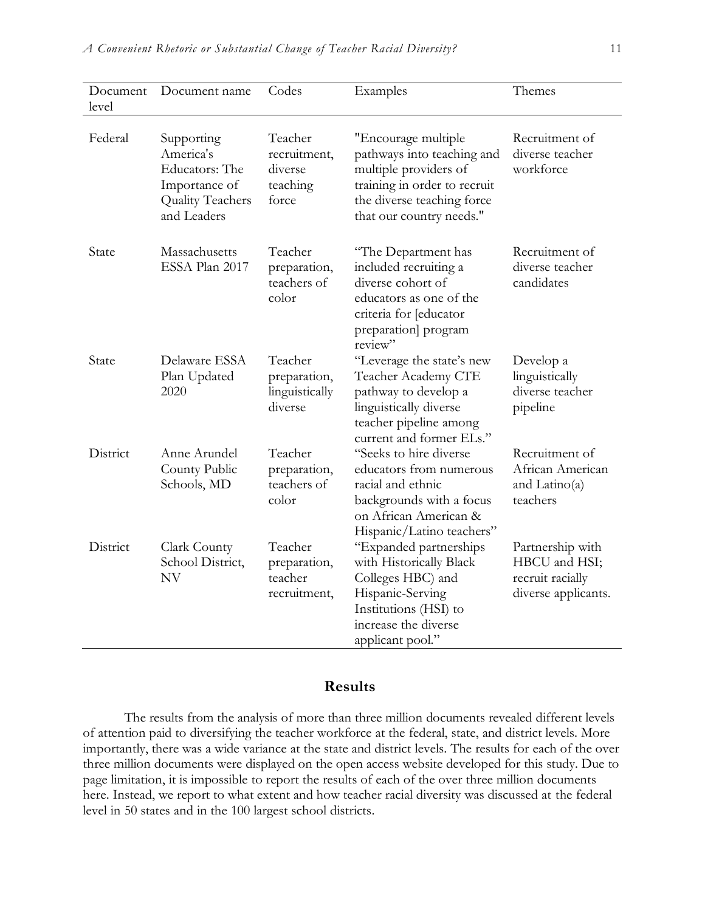| Document<br>level | Document name                                                                                 | Codes                                                   | Examples                                                                                                                                                             | Themes                                                                       |
|-------------------|-----------------------------------------------------------------------------------------------|---------------------------------------------------------|----------------------------------------------------------------------------------------------------------------------------------------------------------------------|------------------------------------------------------------------------------|
| Federal           | Supporting<br>America's<br>Educators: The<br>Importance of<br>Quality Teachers<br>and Leaders | Teacher<br>recruitment,<br>diverse<br>teaching<br>force | "Encourage multiple<br>pathways into teaching and<br>multiple providers of<br>training in order to recruit<br>the diverse teaching force<br>that our country needs." | Recruitment of<br>diverse teacher<br>workforce                               |
| State             | Massachusetts<br>ESSA Plan 2017                                                               | Teacher<br>preparation,<br>teachers of<br>color         | "The Department has<br>included recruiting a<br>diverse cohort of<br>educators as one of the<br>criteria for [educator<br>preparation] program<br>review"            | Recruitment of<br>diverse teacher<br>candidates                              |
| State             | Delaware ESSA<br>Plan Updated<br>2020                                                         | Teacher<br>preparation,<br>linguistically<br>diverse    | "Leverage the state's new<br>Teacher Academy CTE<br>pathway to develop a<br>linguistically diverse<br>teacher pipeline among<br>current and former ELs."             | Develop a<br>linguistically<br>diverse teacher<br>pipeline                   |
| District          | Anne Arundel<br>County Public<br>Schools, MD                                                  | Teacher<br>preparation,<br>teachers of<br>color         | "Seeks to hire diverse<br>educators from numerous<br>racial and ethnic<br>backgrounds with a focus<br>on African American &<br>Hispanic/Latino teachers"             | Recruitment of<br>African American<br>and $Latino(a)$<br>teachers            |
| District          | Clark County<br>School District,<br>NV                                                        | Teacher<br>preparation,<br>teacher<br>recruitment,      | "Expanded partnerships<br>with Historically Black<br>Colleges HBC) and<br>Hispanic-Serving<br>Institutions (HSI) to<br>increase the diverse<br>applicant pool."      | Partnership with<br>HBCU and HSI;<br>recruit racially<br>diverse applicants. |

# **Results**

The results from the analysis of more than three million documents revealed different levels of attention paid to diversifying the teacher workforce at the federal, state, and district levels. More importantly, there was a wide variance at the state and district levels. The results for each of the over three million documents were displayed on the open access website developed for this study. Due to page limitation, it is impossible to report the results of each of the over three million documents here. Instead, we report to what extent and how teacher racial diversity was discussed at the federal level in 50 states and in the 100 largest school districts.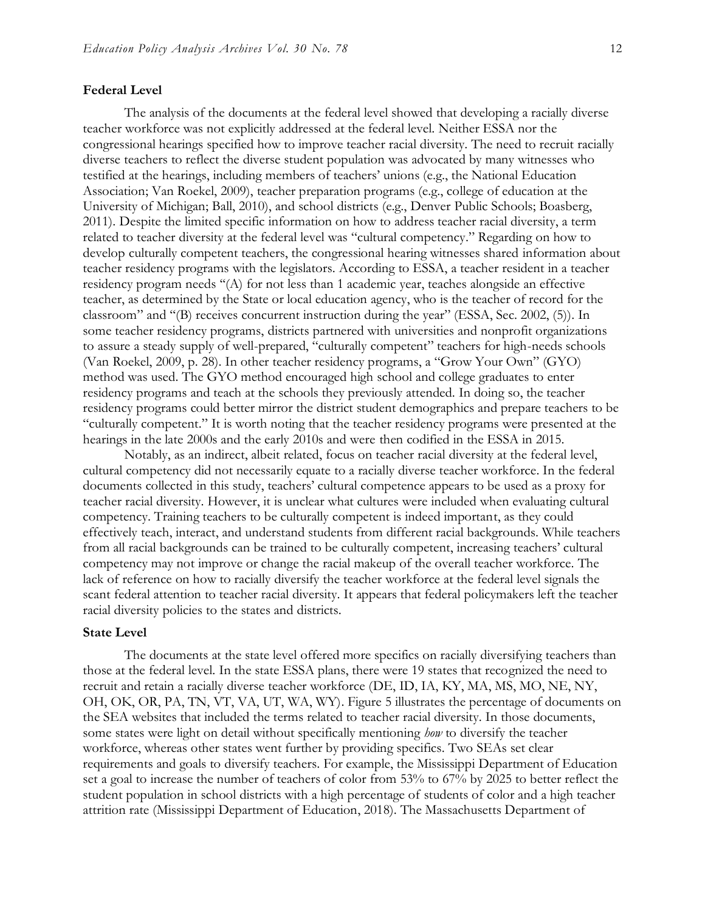#### **Federal Level**

The analysis of the documents at the federal level showed that developing a racially diverse teacher workforce was not explicitly addressed at the federal level. Neither ESSA nor the congressional hearings specified how to improve teacher racial diversity. The need to recruit racially diverse teachers to reflect the diverse student population was advocated by many witnesses who testified at the hearings, including members of teachers' unions (e.g., the National Education Association; Van Roekel, 2009), teacher preparation programs (e.g., college of education at the University of Michigan; Ball, 2010), and school districts (e.g., Denver Public Schools; Boasberg, 2011). Despite the limited specific information on how to address teacher racial diversity, a term related to teacher diversity at the federal level was "cultural competency." Regarding on how to develop culturally competent teachers, the congressional hearing witnesses shared information about teacher residency programs with the legislators. According to ESSA, a teacher resident in a teacher residency program needs ''(A) for not less than 1 academic year, teaches alongside an effective teacher, as determined by the State or local education agency, who is the teacher of record for the classroom" and ''(B) receives concurrent instruction during the year" (ESSA, Sec. 2002, (5)). In some teacher residency programs, districts partnered with universities and nonprofit organizations to assure a steady supply of well-prepared, "culturally competent" teachers for high-needs schools (Van Roekel, 2009, p. 28). In other teacher residency programs, a "Grow Your Own" (GYO) method was used. The GYO method encouraged high school and college graduates to enter residency programs and teach at the schools they previously attended. In doing so, the teacher residency programs could better mirror the district student demographics and prepare teachers to be "culturally competent." It is worth noting that the teacher residency programs were presented at the hearings in the late 2000s and the early 2010s and were then codified in the ESSA in 2015.

Notably, as an indirect, albeit related, focus on teacher racial diversity at the federal level, cultural competency did not necessarily equate to a racially diverse teacher workforce. In the federal documents collected in this study, teachers' cultural competence appears to be used as a proxy for teacher racial diversity. However, it is unclear what cultures were included when evaluating cultural competency. Training teachers to be culturally competent is indeed important, as they could effectively teach, interact, and understand students from different racial backgrounds. While teachers from all racial backgrounds can be trained to be culturally competent, increasing teachers' cultural competency may not improve or change the racial makeup of the overall teacher workforce. The lack of reference on how to racially diversify the teacher workforce at the federal level signals the scant federal attention to teacher racial diversity. It appears that federal policymakers left the teacher racial diversity policies to the states and districts.

#### **State Level**

The documents at the state level offered more specifics on racially diversifying teachers than those at the federal level. In the state ESSA plans, there were 19 states that recognized the need to recruit and retain a racially diverse teacher workforce (DE, ID, IA, KY, MA, MS, MO, NE, NY, OH, OK, OR, PA, TN, VT, VA, UT, WA, WY). Figure 5 illustrates the percentage of documents on the SEA websites that included the terms related to teacher racial diversity. In those documents, some states were light on detail without specifically mentioning *how* to diversify the teacher workforce, whereas other states went further by providing specifics. Two SEAs set clear requirements and goals to diversify teachers. For example, the Mississippi Department of Education set a goal to increase the number of teachers of color from 53% to 67% by 2025 to better reflect the student population in school districts with a high percentage of students of color and a high teacher attrition rate (Mississippi Department of Education, 2018). The Massachusetts Department of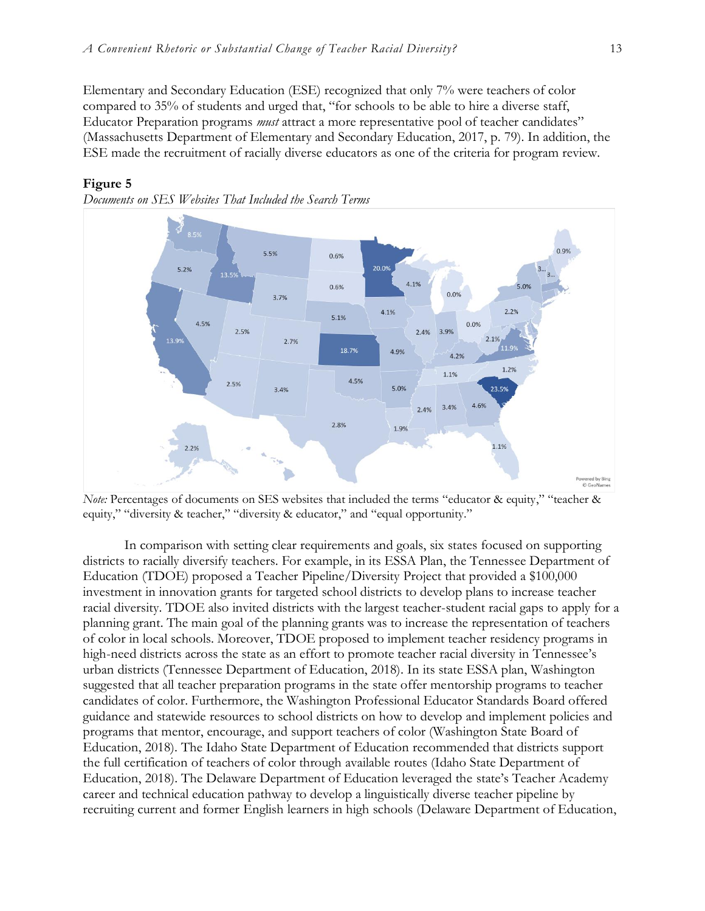Elementary and Secondary Education (ESE) recognized that only 7% were teachers of color compared to 35% of students and urged that, "for schools to be able to hire a diverse staff, Educator Preparation programs *must* attract a more representative pool of teacher candidates" (Massachusetts Department of Elementary and Secondary Education, 2017, p. 79). In addition, the ESE made the recruitment of racially diverse educators as one of the criteria for program review.



#### **Figure 5**



*Note:* Percentages of documents on SES websites that included the terms "educator & equity," "teacher & equity," "diversity & teacher," "diversity & educator," and "equal opportunity."

In comparison with setting clear requirements and goals, six states focused on supporting districts to racially diversify teachers. For example, in its ESSA Plan, the Tennessee Department of Education (TDOE) proposed a Teacher Pipeline/Diversity Project that provided a \$100,000 investment in innovation grants for targeted school districts to develop plans to increase teacher racial diversity. TDOE also invited districts with the largest teacher-student racial gaps to apply for a planning grant. The main goal of the planning grants was to increase the representation of teachers of color in local schools. Moreover, TDOE proposed to implement teacher residency programs in high-need districts across the state as an effort to promote teacher racial diversity in Tennessee's urban districts (Tennessee Department of Education, 2018). In its state ESSA plan, Washington suggested that all teacher preparation programs in the state offer mentorship programs to teacher candidates of color. Furthermore, the Washington Professional Educator Standards Board offered guidance and statewide resources to school districts on how to develop and implement policies and programs that mentor, encourage, and support teachers of color (Washington State Board of Education, 2018). The Idaho State Department of Education recommended that districts support the full certification of teachers of color through available routes (Idaho State Department of Education, 2018). The Delaware Department of Education leveraged the state's Teacher Academy career and technical education pathway to develop a linguistically diverse teacher pipeline by recruiting current and former English learners in high schools (Delaware Department of Education,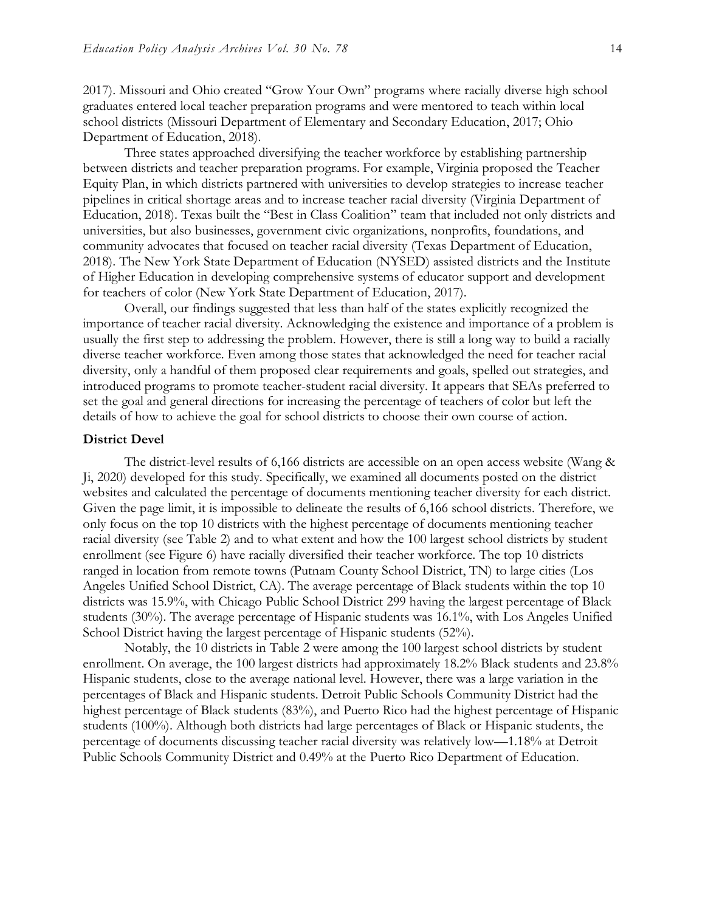2017). Missouri and Ohio created "Grow Your Own" programs where racially diverse high school graduates entered local teacher preparation programs and were mentored to teach within local school districts (Missouri Department of Elementary and Secondary Education, 2017; Ohio Department of Education, 2018).

Three states approached diversifying the teacher workforce by establishing partnership between districts and teacher preparation programs. For example, Virginia proposed the Teacher Equity Plan, in which districts partnered with universities to develop strategies to increase teacher pipelines in critical shortage areas and to increase teacher racial diversity (Virginia Department of Education, 2018). Texas built the "Best in Class Coalition" team that included not only districts and universities, but also businesses, government civic organizations, nonprofits, foundations, and community advocates that focused on teacher racial diversity (Texas Department of Education, 2018). The New York State Department of Education (NYSED) assisted districts and the Institute of Higher Education in developing comprehensive systems of educator support and development for teachers of color (New York State Department of Education, 2017).

Overall, our findings suggested that less than half of the states explicitly recognized the importance of teacher racial diversity. Acknowledging the existence and importance of a problem is usually the first step to addressing the problem. However, there is still a long way to build a racially diverse teacher workforce. Even among those states that acknowledged the need for teacher racial diversity, only a handful of them proposed clear requirements and goals, spelled out strategies, and introduced programs to promote teacher-student racial diversity. It appears that SEAs preferred to set the goal and general directions for increasing the percentage of teachers of color but left the details of how to achieve the goal for school districts to choose their own course of action.

#### **District Devel**

The district-level results of 6,166 districts are accessible on an open access website (Wang & Ji, 2020) developed for this study. Specifically, we examined all documents posted on the district websites and calculated the percentage of documents mentioning teacher diversity for each district. Given the page limit, it is impossible to delineate the results of 6,166 school districts. Therefore, we only focus on the top 10 districts with the highest percentage of documents mentioning teacher racial diversity (see Table 2) and to what extent and how the 100 largest school districts by student enrollment (see Figure 6) have racially diversified their teacher workforce. The top 10 districts ranged in location from remote towns (Putnam County School District, TN) to large cities (Los Angeles Unified School District, CA). The average percentage of Black students within the top 10 districts was 15.9%, with Chicago Public School District 299 having the largest percentage of Black students (30%). The average percentage of Hispanic students was 16.1%, with Los Angeles Unified School District having the largest percentage of Hispanic students (52%).

Notably, the 10 districts in Table 2 were among the 100 largest school districts by student enrollment. On average, the 100 largest districts had approximately 18.2% Black students and 23.8% Hispanic students, close to the average national level. However, there was a large variation in the percentages of Black and Hispanic students. Detroit Public Schools Community District had the highest percentage of Black students (83%), and Puerto Rico had the highest percentage of Hispanic students (100%). Although both districts had large percentages of Black or Hispanic students, the percentage of documents discussing teacher racial diversity was relatively low—1.18% at Detroit Public Schools Community District and 0.49% at the Puerto Rico Department of Education.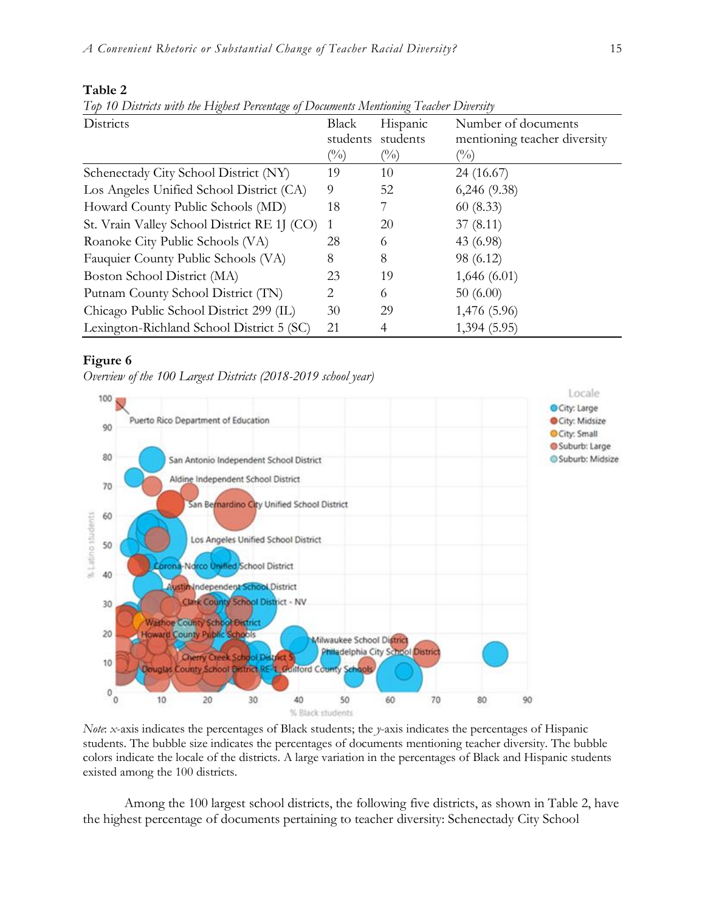| Districts                                   | Black                      | Hispanic | Number of documents          |
|---------------------------------------------|----------------------------|----------|------------------------------|
|                                             | students                   | students | mentioning teacher diversity |
|                                             | $\left(\frac{0}{0}\right)$ | $(\%)$   | $\left(\frac{0}{0}\right)$   |
| Schenectady City School District (NY)       | 19                         | 10       | 24 (16.67)                   |
| Los Angeles Unified School District (CA)    | 9                          | 52       | $6,246$ $(9.38)$             |
| Howard County Public Schools (MD)           | 18                         |          | 60(8.33)                     |
| St. Vrain Valley School District RE 1J (CO) |                            | 20       | 37(8.11)                     |
| Roanoke City Public Schools (VA)            | 28                         | 6        | 43 (6.98)                    |
| Fauquier County Public Schools (VA)         | 8                          | 8        | 98 (6.12)                    |
| Boston School District (MA)                 | 23                         | 19       | 1,646(6.01)                  |
| Putnam County School District (TN)          | 2                          | 6        | 50(6.00)                     |
| Chicago Public School District 299 (IL)     | 30                         | 29       | 1,476 (5.96)                 |
| Lexington-Richland School District 5 (SC)   | 21                         | 4        | 1,394 (5.95)                 |

#### **Table 2**

*Top 10 Districts with the Highest Percentage of Documents Mentioning Teacher Diversity*

#### **Figure 6**

*Overview of the 100 Largest Districts (2018-2019 school year)*



*Note*: *x*-axis indicates the percentages of Black students; the *y*-axis indicates the percentages of Hispanic students. The bubble size indicates the percentages of documents mentioning teacher diversity. The bubble colors indicate the locale of the districts. A large variation in the percentages of Black and Hispanic students existed among the 100 districts.

Among the 100 largest school districts, the following five districts, as shown in Table 2, have the highest percentage of documents pertaining to teacher diversity: Schenectady City School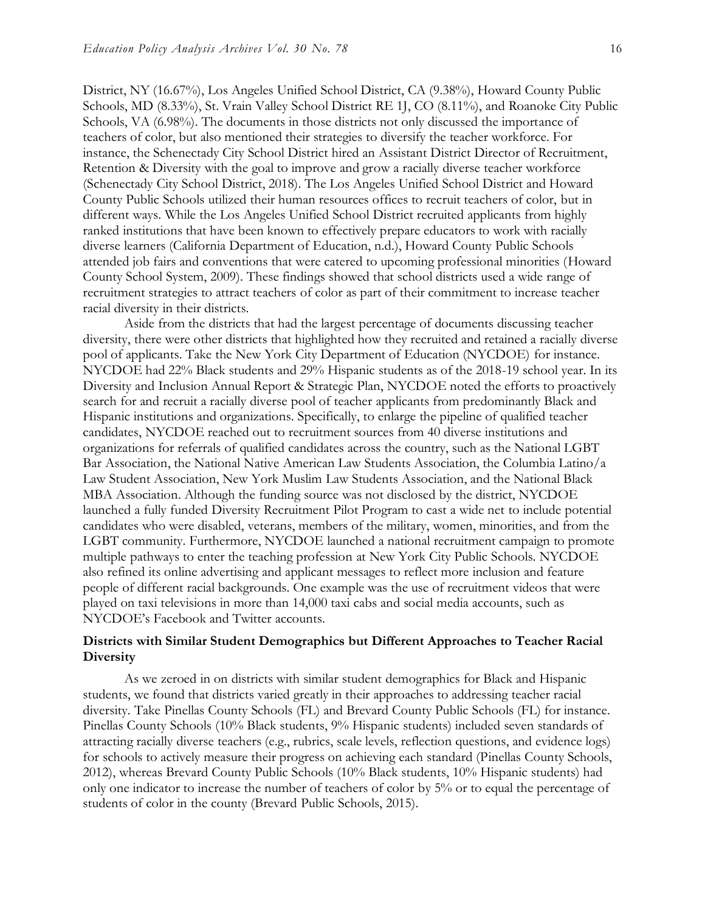District, NY (16.67%), Los Angeles Unified School District, CA (9.38%), Howard County Public Schools, MD (8.33%), St. Vrain Valley School District RE 1J, CO (8.11%), and Roanoke City Public Schools, VA (6.98%). The documents in those districts not only discussed the importance of teachers of color, but also mentioned their strategies to diversify the teacher workforce. For instance, the Schenectady City School District hired an Assistant District Director of Recruitment, Retention & Diversity with the goal to improve and grow a racially diverse teacher workforce (Schenectady City School District, 2018). The Los Angeles Unified School District and Howard County Public Schools utilized their human resources offices to recruit teachers of color, but in different ways. While the Los Angeles Unified School District recruited applicants from highly ranked institutions that have been known to effectively prepare educators to work with racially diverse learners (California Department of Education, n.d.), Howard County Public Schools attended job fairs and conventions that were catered to upcoming professional minorities (Howard County School System, 2009). These findings showed that school districts used a wide range of recruitment strategies to attract teachers of color as part of their commitment to increase teacher racial diversity in their districts.

Aside from the districts that had the largest percentage of documents discussing teacher diversity, there were other districts that highlighted how they recruited and retained a racially diverse pool of applicants. Take the New York City Department of Education (NYCDOE) for instance. NYCDOE had 22% Black students and 29% Hispanic students as of the 2018-19 school year. In its Diversity and Inclusion Annual Report & Strategic Plan, NYCDOE noted the efforts to proactively search for and recruit a racially diverse pool of teacher applicants from predominantly Black and Hispanic institutions and organizations. Specifically, to enlarge the pipeline of qualified teacher candidates, NYCDOE reached out to recruitment sources from 40 diverse institutions and organizations for referrals of qualified candidates across the country, such as the National LGBT Bar Association, the National Native American Law Students Association, the Columbia Latino/a Law Student Association, New York Muslim Law Students Association, and the National Black MBA Association. Although the funding source was not disclosed by the district, NYCDOE launched a fully funded Diversity Recruitment Pilot Program to cast a wide net to include potential candidates who were disabled, veterans, members of the military, women, minorities, and from the LGBT community. Furthermore, NYCDOE launched a national recruitment campaign to promote multiple pathways to enter the teaching profession at New York City Public Schools. NYCDOE also refined its online advertising and applicant messages to reflect more inclusion and feature people of different racial backgrounds. One example was the use of recruitment videos that were played on taxi televisions in more than 14,000 taxi cabs and social media accounts, such as NYCDOE's Facebook and Twitter accounts.

#### **Districts with Similar Student Demographics but Different Approaches to Teacher Racial Diversity**

As we zeroed in on districts with similar student demographics for Black and Hispanic students, we found that districts varied greatly in their approaches to addressing teacher racial diversity. Take Pinellas County Schools (FL) and Brevard County Public Schools (FL) for instance. Pinellas County Schools (10% Black students, 9% Hispanic students) included seven standards of attracting racially diverse teachers (e.g., rubrics, scale levels, reflection questions, and evidence logs) for schools to actively measure their progress on achieving each standard (Pinellas County Schools, 2012), whereas Brevard County Public Schools (10% Black students, 10% Hispanic students) had only one indicator to increase the number of teachers of color by 5% or to equal the percentage of students of color in the county (Brevard Public Schools, 2015).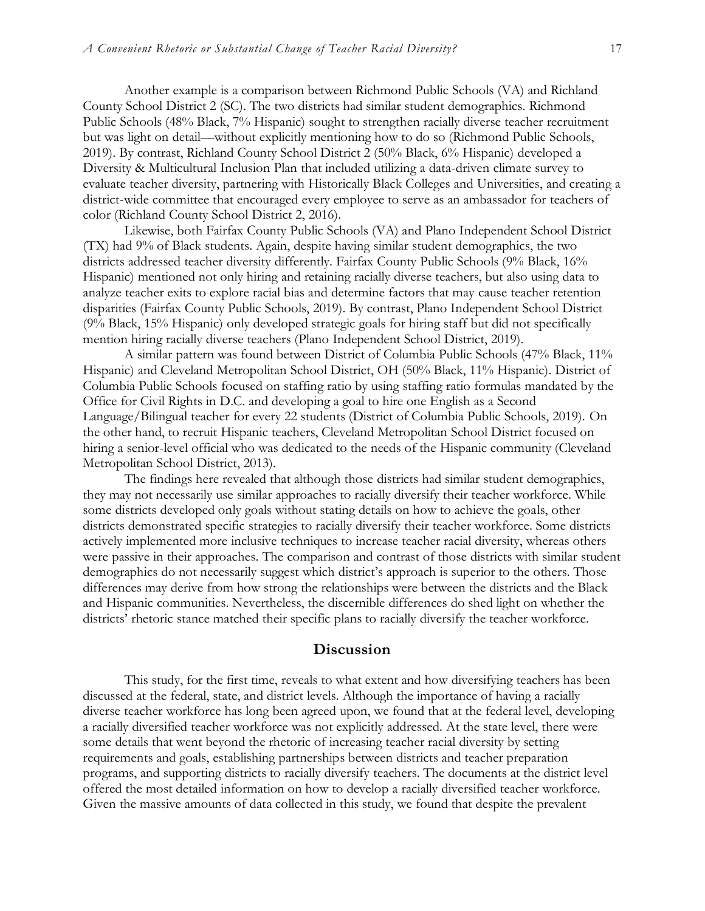Another example is a comparison between Richmond Public Schools (VA) and Richland County School District 2 (SC). The two districts had similar student demographics. Richmond Public Schools (48% Black, 7% Hispanic) sought to strengthen racially diverse teacher recruitment but was light on detail—without explicitly mentioning how to do so (Richmond Public Schools, 2019). By contrast, Richland County School District 2 (50% Black, 6% Hispanic) developed a Diversity & Multicultural Inclusion Plan that included utilizing a data-driven climate survey to evaluate teacher diversity, partnering with Historically Black Colleges and Universities, and creating a district-wide committee that encouraged every employee to serve as an ambassador for teachers of color (Richland County School District 2, 2016).

Likewise, both Fairfax County Public Schools (VA) and Plano Independent School District (TX) had 9% of Black students. Again, despite having similar student demographics, the two districts addressed teacher diversity differently. Fairfax County Public Schools (9% Black, 16% Hispanic) mentioned not only hiring and retaining racially diverse teachers, but also using data to analyze teacher exits to explore racial bias and determine factors that may cause teacher retention disparities (Fairfax County Public Schools, 2019). By contrast, Plano Independent School District (9% Black, 15% Hispanic) only developed strategic goals for hiring staff but did not specifically mention hiring racially diverse teachers (Plano Independent School District, 2019).

A similar pattern was found between District of Columbia Public Schools (47% Black, 11% Hispanic) and Cleveland Metropolitan School District, OH (50% Black, 11% Hispanic). District of Columbia Public Schools focused on staffing ratio by using staffing ratio formulas mandated by the Office for Civil Rights in D.C. and developing a goal to hire one English as a Second Language/Bilingual teacher for every 22 students (District of Columbia Public Schools, 2019). On the other hand, to recruit Hispanic teachers, Cleveland Metropolitan School District focused on hiring a senior-level official who was dedicated to the needs of the Hispanic community (Cleveland Metropolitan School District, 2013).

The findings here revealed that although those districts had similar student demographics, they may not necessarily use similar approaches to racially diversify their teacher workforce. While some districts developed only goals without stating details on how to achieve the goals, other districts demonstrated specific strategies to racially diversify their teacher workforce. Some districts actively implemented more inclusive techniques to increase teacher racial diversity, whereas others were passive in their approaches. The comparison and contrast of those districts with similar student demographics do not necessarily suggest which district's approach is superior to the others. Those differences may derive from how strong the relationships were between the districts and the Black and Hispanic communities. Nevertheless, the discernible differences do shed light on whether the districts' rhetoric stance matched their specific plans to racially diversify the teacher workforce.

#### **Discussion**

This study, for the first time, reveals to what extent and how diversifying teachers has been discussed at the federal, state, and district levels. Although the importance of having a racially diverse teacher workforce has long been agreed upon, we found that at the federal level, developing a racially diversified teacher workforce was not explicitly addressed. At the state level, there were some details that went beyond the rhetoric of increasing teacher racial diversity by setting requirements and goals, establishing partnerships between districts and teacher preparation programs, and supporting districts to racially diversify teachers. The documents at the district level offered the most detailed information on how to develop a racially diversified teacher workforce. Given the massive amounts of data collected in this study, we found that despite the prevalent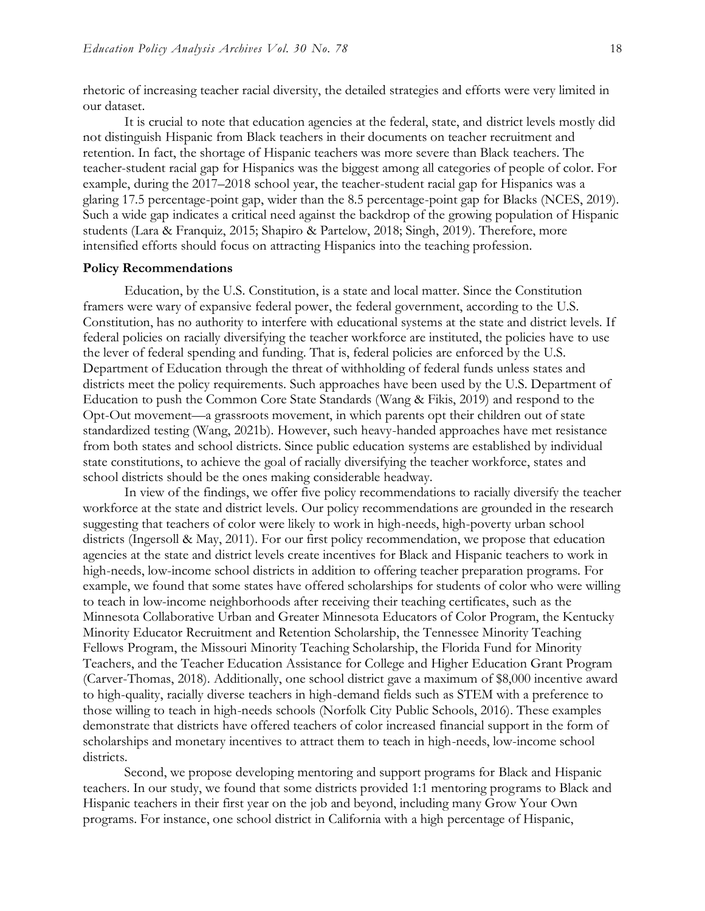rhetoric of increasing teacher racial diversity, the detailed strategies and efforts were very limited in our dataset.

It is crucial to note that education agencies at the federal, state, and district levels mostly did not distinguish Hispanic from Black teachers in their documents on teacher recruitment and retention. In fact, the shortage of Hispanic teachers was more severe than Black teachers. The teacher-student racial gap for Hispanics was the biggest among all categories of people of color. For example, during the 2017–2018 school year, the teacher-student racial gap for Hispanics was a glaring 17.5 percentage-point gap, wider than the 8.5 percentage-point gap for Blacks (NCES, 2019). Such a wide gap indicates a critical need against the backdrop of the growing population of Hispanic students (Lara & Franquiz, 2015; Shapiro & Partelow, 2018; Singh, 2019). Therefore, more intensified efforts should focus on attracting Hispanics into the teaching profession.

#### **Policy Recommendations**

Education, by the U.S. Constitution, is a state and local matter. Since the Constitution framers were wary of expansive federal power, the federal government, according to the U.S. Constitution, has no authority to interfere with educational systems at the state and district levels. If federal policies on racially diversifying the teacher workforce are instituted, the policies have to use the lever of federal spending and funding. That is, federal policies are enforced by the U.S. Department of Education through the threat of withholding of federal funds unless states and districts meet the policy requirements. Such approaches have been used by the U.S. Department of Education to push the Common Core State Standards (Wang & Fikis, 2019) and respond to the Opt-Out movement—a grassroots movement, in which parents opt their children out of state standardized testing (Wang, 2021b). However, such heavy-handed approaches have met resistance from both states and school districts. Since public education systems are established by individual state constitutions, to achieve the goal of racially diversifying the teacher workforce, states and school districts should be the ones making considerable headway.

In view of the findings, we offer five policy recommendations to racially diversify the teacher workforce at the state and district levels. Our policy recommendations are grounded in the research suggesting that teachers of color were likely to work in high-needs, high-poverty urban school districts (Ingersoll & May, 2011). For our first policy recommendation, we propose that education agencies at the state and district levels create incentives for Black and Hispanic teachers to work in high-needs, low-income school districts in addition to offering teacher preparation programs. For example, we found that some states have offered scholarships for students of color who were willing to teach in low-income neighborhoods after receiving their teaching certificates, such as the Minnesota Collaborative Urban and Greater Minnesota Educators of Color Program, the Kentucky Minority Educator Recruitment and Retention Scholarship, the Tennessee Minority Teaching Fellows Program, the Missouri Minority Teaching Scholarship, the Florida Fund for Minority Teachers, and the Teacher Education Assistance for College and Higher Education Grant Program (Carver-Thomas, 2018). Additionally, one school district gave a maximum of \$8,000 incentive award to high-quality, racially diverse teachers in high-demand fields such as STEM with a preference to those willing to teach in high-needs schools (Norfolk City Public Schools, 2016). These examples demonstrate that districts have offered teachers of color increased financial support in the form of scholarships and monetary incentives to attract them to teach in high-needs, low-income school districts.

Second, we propose developing mentoring and support programs for Black and Hispanic teachers. In our study, we found that some districts provided 1:1 mentoring programs to Black and Hispanic teachers in their first year on the job and beyond, including many Grow Your Own programs. For instance, one school district in California with a high percentage of Hispanic,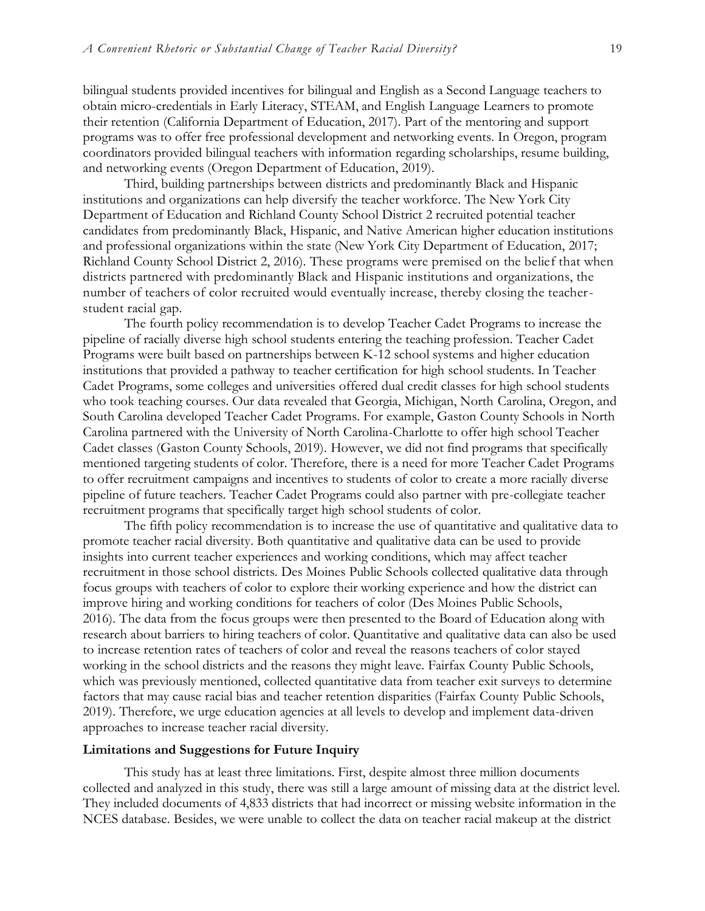bilingual students provided incentives for bilingual and English as a Second Language teachers to obtain micro-credentials in Early Literacy, STEAM, and English Language Learners to promote their retention (California Department of Education, 2017). Part of the mentoring and support programs was to offer free professional development and networking events. In Oregon, program coordinators provided bilingual teachers with information regarding scholarships, resume building, and networking events (Oregon Department of Education, 2019).

Third, building partnerships between districts and predominantly Black and Hispanic institutions and organizations can help diversify the teacher workforce. The New York City Department of Education and Richland County School District 2 recruited potential teacher candidates from predominantly Black, Hispanic, and Native American higher education institutions and professional organizations within the state (New York City Department of Education, 2017; Richland County School District 2, 2016). These programs were premised on the belief that when districts partnered with predominantly Black and Hispanic institutions and organizations, the number of teachers of color recruited would eventually increase, thereby closing the teacherstudent racial gap.

The fourth policy recommendation is to develop Teacher Cadet Programs to increase the pipeline of racially diverse high school students entering the teaching profession. Teacher Cadet Programs were built based on partnerships between K-12 school systems and higher education institutions that provided a pathway to teacher certification for high school students. In Teacher Cadet Programs, some colleges and universities offered dual credit classes for high school students who took teaching courses. Our data revealed that Georgia, Michigan, North Carolina, Oregon, and South Carolina developed Teacher Cadet Programs. For example, Gaston County Schools in North Carolina partnered with the University of North Carolina-Charlotte to offer high school Teacher Cadet classes (Gaston County Schools, 2019). However, we did not find programs that specifically mentioned targeting students of color. Therefore, there is a need for more Teacher Cadet Programs to offer recruitment campaigns and incentives to students of color to create a more racially diverse pipeline of future teachers. Teacher Cadet Programs could also partner with pre-collegiate teacher recruitment programs that specifically target high school students of color.

The fifth policy recommendation is to increase the use of quantitative and qualitative data to promote teacher racial diversity. Both quantitative and qualitative data can be used to provide insights into current teacher experiences and working conditions, which may affect teacher recruitment in those school districts. Des Moines Public Schools collected qualitative data through focus groups with teachers of color to explore their working experience and how the district can improve hiring and working conditions for teachers of color (Des Moines Public Schools, 2016). The data from the focus groups were then presented to the Board of Education along with research about barriers to hiring teachers of color. Quantitative and qualitative data can also be used to increase retention rates of teachers of color and reveal the reasons teachers of color stayed working in the school districts and the reasons they might leave. Fairfax County Public Schools, which was previously mentioned, collected quantitative data from teacher exit surveys to determine factors that may cause racial bias and teacher retention disparities (Fairfax County Public Schools, 2019). Therefore, we urge education agencies at all levels to develop and implement data-driven approaches to increase teacher racial diversity.

#### **Limitations and Suggestions for Future Inquiry**

This study has at least three limitations. First, despite almost three million documents collected and analyzed in this study, there was still a large amount of missing data at the district level. They included documents of 4,833 districts that had incorrect or missing website information in the NCES database. Besides, we were unable to collect the data on teacher racial makeup at the district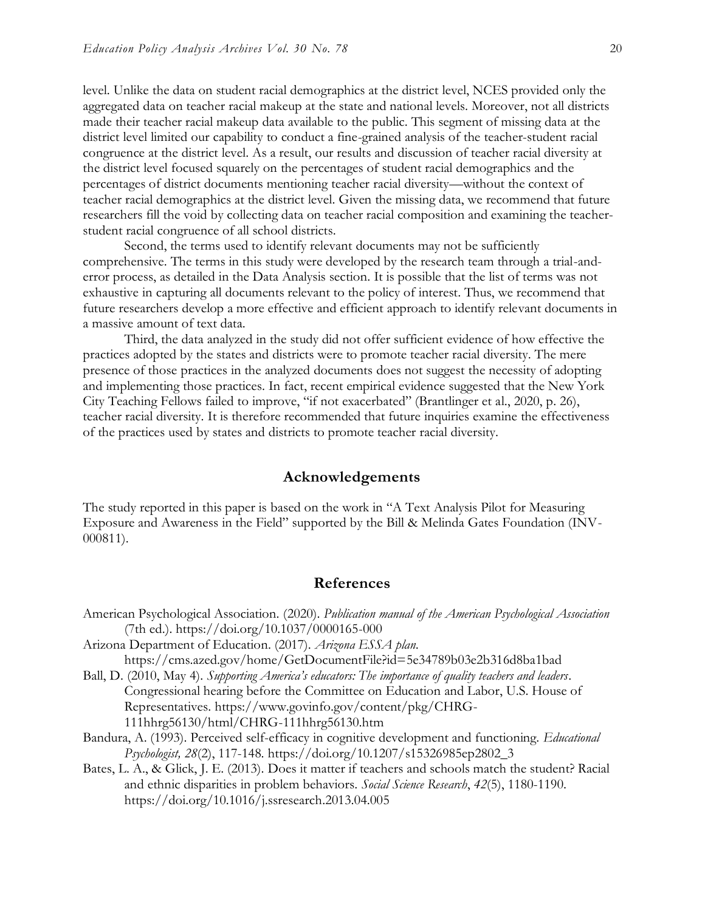level. Unlike the data on student racial demographics at the district level, NCES provided only the aggregated data on teacher racial makeup at the state and national levels. Moreover, not all districts made their teacher racial makeup data available to the public. This segment of missing data at the district level limited our capability to conduct a fine-grained analysis of the teacher-student racial congruence at the district level. As a result, our results and discussion of teacher racial diversity at the district level focused squarely on the percentages of student racial demographics and the percentages of district documents mentioning teacher racial diversity—without the context of teacher racial demographics at the district level. Given the missing data, we recommend that future researchers fill the void by collecting data on teacher racial composition and examining the teacherstudent racial congruence of all school districts.

Second, the terms used to identify relevant documents may not be sufficiently comprehensive. The terms in this study were developed by the research team through a trial-anderror process, as detailed in the Data Analysis section. It is possible that the list of terms was not exhaustive in capturing all documents relevant to the policy of interest. Thus, we recommend that future researchers develop a more effective and efficient approach to identify relevant documents in a massive amount of text data.

Third, the data analyzed in the study did not offer sufficient evidence of how effective the practices adopted by the states and districts were to promote teacher racial diversity. The mere presence of those practices in the analyzed documents does not suggest the necessity of adopting and implementing those practices. In fact, recent empirical evidence suggested that the New York City Teaching Fellows failed to improve, "if not exacerbated" (Brantlinger et al., 2020, p. 26), teacher racial diversity. It is therefore recommended that future inquiries examine the effectiveness of the practices used by states and districts to promote teacher racial diversity.

#### **Acknowledgements**

The study reported in this paper is based on the work in "A Text Analysis Pilot for Measuring Exposure and Awareness in the Field" supported by the Bill & Melinda Gates Foundation (INV-000811).

#### **References**

- American Psychological Association. (2020). *Publication manual of the American Psychological Association* (7th ed.). https://doi.org/10.1037/0000165-000
- Arizona Department of Education. (2017). *Arizona ESSA plan*. <https://cms.azed.gov/home/GetDocumentFile?id=5e34789b03e2b316d8ba1bad>
- Ball, D. (2010, May 4). *Supporting America's educators: The importance of quality teachers and leaders*. Congressional hearing before the Committee on Education and Labor, U.S. House of Representatives. https://www.govinfo.gov/content/pkg/CHRG-111hhrg56130/html/CHRG-111hhrg56130.htm
- Bandura, A. (1993). Perceived self-efficacy in cognitive development and functioning. *Educational Psychologist, 28*(2), 117-148. https://doi.org/10.1207/s15326985ep2802\_3
- Bates, L. A., & Glick, J. E. (2013). Does it matter if teachers and schools match the student? Racial and ethnic disparities in problem behaviors. *Social Science Research*, *42*(5), 1180-1190. https://doi.org/10.1016/j.ssresearch.2013.04.005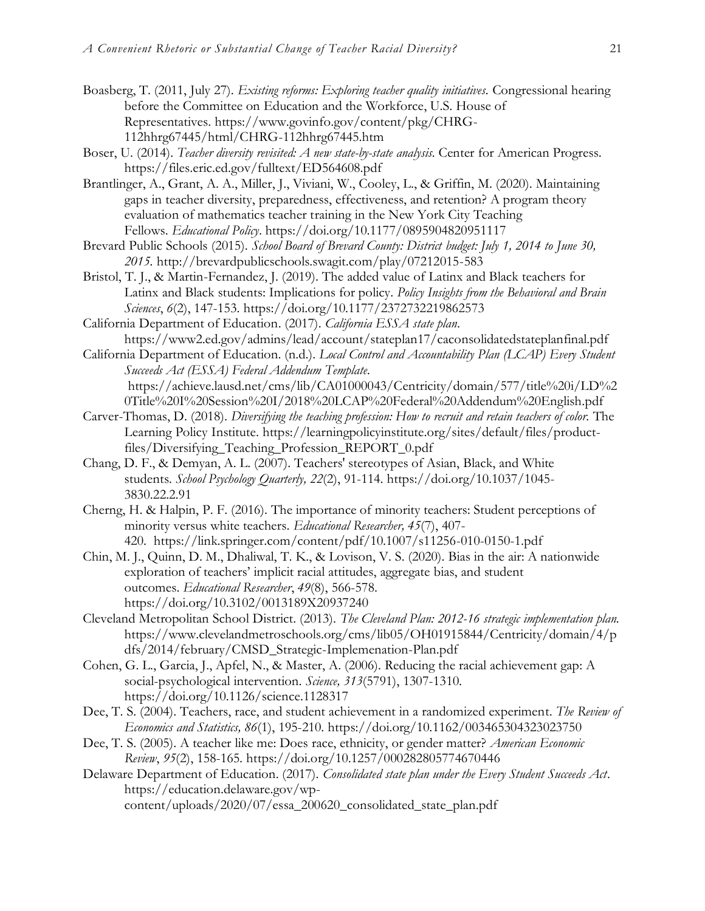- Boasberg, T. (2011, July 27). *Existing reforms: Exploring teacher quality initiatives.* Congressional hearing before the Committee on Education and the Workforce, U.S. House of Representatives. [https://www.govinfo.gov/content/pkg/CHRG-](https://www.govinfo.gov/content/pkg/CHRG-112hhrg67445/html/CHRG-112hhrg67445.htm)[112hhrg67445/html/CHRG-112hhrg67445.htm](https://www.govinfo.gov/content/pkg/CHRG-112hhrg67445/html/CHRG-112hhrg67445.htm)
- Boser, U. (2014). *Teacher diversity revisited: A new state-by-state analysis.* Center for American Progress. <https://files.eric.ed.gov/fulltext/ED564608.pdf>
- Brantlinger, A., Grant, A. A., Miller, J., Viviani, W., Cooley, L., & Griffin, M. (2020). Maintaining gaps in teacher diversity, preparedness, effectiveness, and retention? A program theory evaluation of mathematics teacher training in the New York City Teaching Fellows. *Educational Policy*. [https://doi.org/10.1177/0895904820951117](https://doi.org/10.1177%2F0895904820951117)
- Brevard Public Schools (2015). *School Board of Brevard County: District budget: July 1, 2014 to June 30, 2015.* http://brevardpublicschools.swagit.com/play/07212015-583
- Bristol, T. J., & Martin-Fernandez, J. (2019). The added value of Latinx and Black teachers for Latinx and Black students: Implications for policy. *Policy Insights from the Behavioral and Brain Sciences*, *6*(2), 147-153. https://doi.org/10.1177/2372732219862573
- California Department of Education. (2017). *California ESSA state plan*. https://www2.ed.gov/admins/lead/account/stateplan17/caconsolidatedstateplanfinal.pdf
- California Department of Education. (n.d.). *Local Control and Accountability Plan (LCAP) Every Student Succeeds Act (ESSA) Federal Addendum Template.*  [https://achieve.lausd.net/cms/lib/CA01000043/Centricity/domain/577/title%20i/LD%2](https://achieve.lausd.net/cms/lib/CA01000043/Centricity/domain/577/title%20i/LD%20Title%20I%20Session%20I/2018%20LCAP%20Federal%20Addendum%20English.pdf) [0Title%20I%20Session%20I/2018%20LCAP%20Federal%20Addendum%20English.pdf](https://achieve.lausd.net/cms/lib/CA01000043/Centricity/domain/577/title%20i/LD%20Title%20I%20Session%20I/2018%20LCAP%20Federal%20Addendum%20English.pdf)
- Carver-Thomas, D. (2018). *Diversifying the teaching profession: How to recruit and retain teachers of color.* The Learning Policy Institute. [https://learningpolicyinstitute.org/sites/default/files/product](https://learningpolicyinstitute.org/sites/default/files/product-files/Diversifying_Teaching_Profession_REPORT_0.pdf)[files/Diversifying\\_Teaching\\_Profession\\_REPORT\\_0.pdf](https://learningpolicyinstitute.org/sites/default/files/product-files/Diversifying_Teaching_Profession_REPORT_0.pdf)
- Chang, D. F., & Demyan, A. L. (2007). Teachers' stereotypes of Asian, Black, and White students. *School Psychology Quarterly, 22*(2), 91-114. https://doi.org/10.1037/1045- 3830.22.2.91
- Cherng, H. & Halpin, P. F. (2016). The importance of minority teachers: Student perceptions of minority versus white teachers. *Educational Researcher, 45*(7), 407- 420. <https://link.springer.com/content/pdf/10.1007/s11256-010-0150-1.pdf>
- Chin, M. J., Quinn, D. M., Dhaliwal, T. K., & Lovison, V. S. (2020). Bias in the air: A nationwide exploration of teachers' implicit racial attitudes, aggregate bias, and student outcomes. *Educational Researcher*, *49*(8), 566-578. https://doi.org/10.3102/0013189X20937240
- Cleveland Metropolitan School District. (2013). *The Cleveland Plan: 2012-16 strategic implementation plan.* [https://www.clevelandmetroschools.org/cms/lib05/OH01915844/Centricity/domain/4/p](https://www.clevelandmetroschools.org/cms/lib05/OH01915844/Centricity/domain/4/pdfs/2014/february/CMSD_Strategic-Implemenation-Plan.pdf) [dfs/2014/february/CMSD\\_Strategic-Implemenation-Plan.pdf](https://www.clevelandmetroschools.org/cms/lib05/OH01915844/Centricity/domain/4/pdfs/2014/february/CMSD_Strategic-Implemenation-Plan.pdf)
- Cohen, G. L., Garcia, J., Apfel, N., & Master, A. (2006). Reducing the racial achievement gap: A social-psychological intervention. *Science, 313*(5791), 1307-1310. https://doi.org/10.1126/science.1128317
- Dee, T. S. (2004). Teachers, race, and student achievement in a randomized experiment. *The Review of Economics and Statistics, 86*(1), 195-210.<https://doi.org/10.1162/003465304323023750>
- Dee, T. S. (2005). A teacher like me: Does race, ethnicity, or gender matter? *American Economic Review*, *95*(2), 158-165.<https://doi.org/10.1257/000282805774670446>
- Delaware Department of Education. (2017). *Consolidated state plan under the Every Student Succeeds Act*. https://education.delaware.gov/wpcontent/uploads/2020/07/essa\_200620\_consolidated\_state\_plan.pdf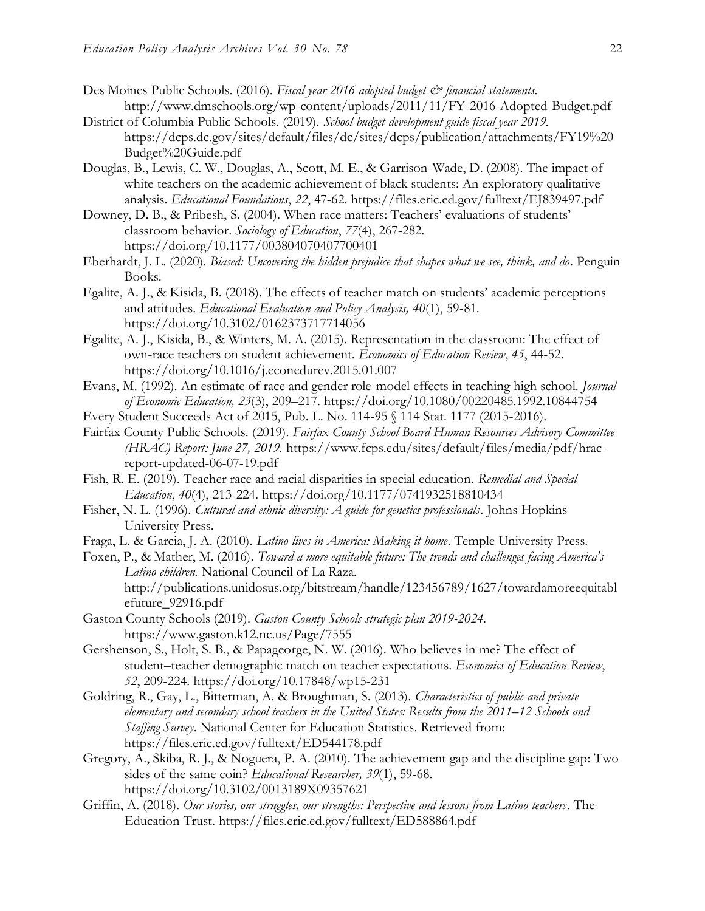- Des Moines Public Schools. (2016). *[Fiscal year 2016 adopted budget & financial statements.](http://nitro2.cs.gsu.edu:5050/meeting_minutes/school/1908970/FY-2016-Adopted-Budget.pdf)* <http://www.dmschools.org/wp-content/uploads/2011/11/FY-2016-Adopted-Budget.pdf>
- District of Columbia Public Schools. (2019). *School budget development guide fiscal year 2019.* [https://dcps.dc.gov/sites/default/files/dc/sites/dcps/publication/attachments/FY19%20](https://dcps.dc.gov/sites/default/files/dc/sites/dcps/publication/attachments/FY19%20Budget%20Guide.pdf) [Budget%20Guide.pdf](https://dcps.dc.gov/sites/default/files/dc/sites/dcps/publication/attachments/FY19%20Budget%20Guide.pdf)
- Douglas, B., Lewis, C. W., Douglas, A., Scott, M. E., & Garrison-Wade, D. (2008). The impact of white teachers on the academic achievement of black students: An exploratory qualitative analysis. *Educational Foundations*, *22*, 47-62.<https://files.eric.ed.gov/fulltext/EJ839497.pdf>
- Downey, D. B., & Pribesh, S. (2004). When race matters: Teachers' evaluations of students' classroom behavior. *Sociology of Education*, *77*(4), 267-282. https://doi.org/10.1177/003804070407700401
- Eberhardt, J. L. (2020). *Biased: Uncovering the hidden prejudice that shapes what we see, think, and do*. Penguin Books.
- Egalite, A. J., & Kisida, B. (2018). The effects of teacher match on students' academic perceptions and attitudes. *Educational Evaluation and Policy Analysis, 40*(1), 59-81. https://doi.org/10.3102/0162373717714056
- Egalite, A. J., Kisida, B., & Winters, M. A. (2015). Representation in the classroom: The effect of own-race teachers on student achievement. *Economics of Education Review*, *45*, 44-52. <https://doi.org/10.1016/j.econedurev.2015.01.007>
- Evans, M. (1992). An estimate of race and gender role-model effects in teaching high school. *Journal of Economic Education, 23*(3), 209–217. https://doi.org[/10.1080/00220485.1992.10844754](https://doi.org/10.1080/00220485.1992.10844754)
- Every Student Succeeds Act of 2015, Pub. L. No. 114-95 § 114 Stat. 1177 (2015-2016).
- Fairfax County Public Schools. (2019). *Fairfax County School Board Human Resources Advisory Committee (HRAC) Report: June 27, 2019.* [https://www.fcps.edu/sites/default/files/media/pdf/hrac](https://www.fcps.edu/sites/default/files/media/pdf/hrac-report-updated-06-07-19.pdf)[report-updated-06-07-19.pdf](https://www.fcps.edu/sites/default/files/media/pdf/hrac-report-updated-06-07-19.pdf)
- Fish, R. E. (2019). Teacher race and racial disparities in special education. *Remedial and Special Education*, *40*(4), 213-224.<https://doi.org/10.1177/0741932518810434>
- Fisher, N. L. (1996). *Cultural and ethnic diversity: A guide for genetics professionals*. Johns Hopkins University Press.
- Fraga, L. & Garcia, J. A. (2010). *Latino lives in America: Making it home*. Temple University Press.
- Foxen, P., & Mather, M. (2016). *Toward a more equitable future: The trends and challenges facing America's Latino children.* National Council of La Raza. [http://publications.unidosus.org/bitstream/handle/123456789/1627/towardamoreequitabl](http://publications.unidosus.org/bitstream/handle/123456789/1627/towardamoreequitablefuture_92916.pdf) [efuture\\_92916.pdf](http://publications.unidosus.org/bitstream/handle/123456789/1627/towardamoreequitablefuture_92916.pdf)
- Gaston County Schools (2019). *Gaston County Schools strategic plan 2019-2024.*  <https://www.gaston.k12.nc.us/Page/7555>
- Gershenson, S., Holt, S. B., & Papageorge, N. W. (2016). Who believes in me? The effect of student–teacher demographic match on teacher expectations. *Economics of Education Review*, *52*, 209-224.<https://doi.org/10.17848/wp15-231>
- Goldring, R., Gay, L., Bitterman, A. & Broughman, S. (2013). *Characteristics of public and private elementary and secondary school teachers in the United States: Results from the 2011–12 Schools and Staffing Survey*. National Center for Education Statistics. Retrieved from: <https://files.eric.ed.gov/fulltext/ED544178.pdf>
- Gregory, A., Skiba, R. J., & Noguera, P. A. (2010). The achievement gap and the discipline gap: Two sides of the same coin? *Educational Researcher, 39*(1), 59-68. https://doi.org/10.3102/0013189X09357621
- Griffin, A. (2018). *Our stories, our struggles, our strengths: Perspective and lessons from Latino teachers*. The Education Trust.<https://files.eric.ed.gov/fulltext/ED588864.pdf>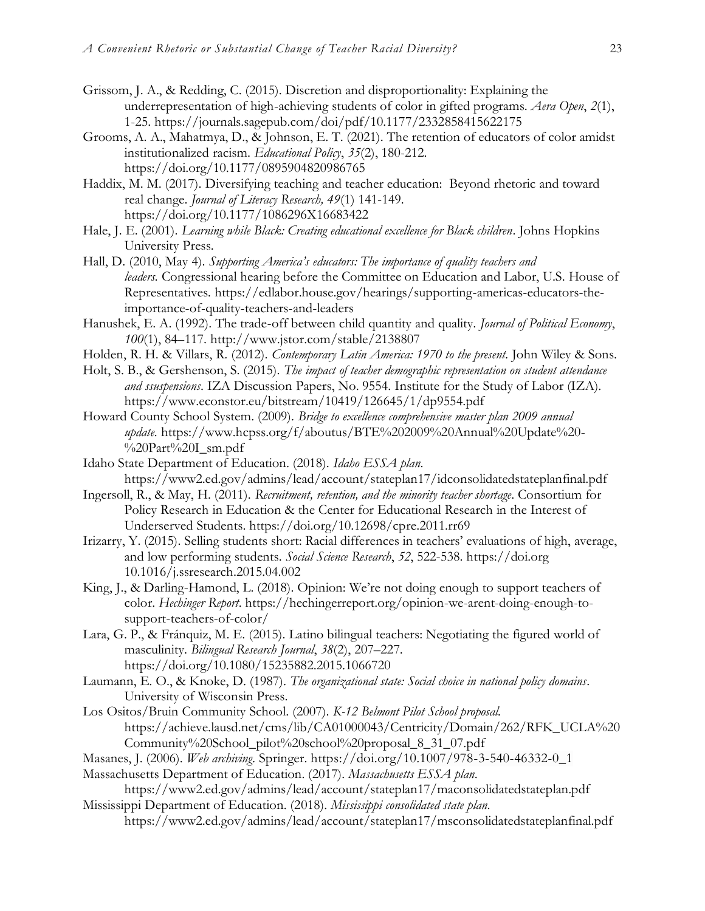- Grissom, J. A., & Redding, C. (2015). Discretion and disproportionality: Explaining the underrepresentation of high-achieving students of color in gifted programs. *Aera Open*, *2*(1), 1-25.<https://journals.sagepub.com/doi/pdf/10.1177/2332858415622175>
- Grooms, A. A., Mahatmya, D., & Johnson, E. T. (2021). The retention of educators of color amidst institutionalized racism. *Educational Policy*, *35*(2), 180-212. https://doi.org/10.1177/0895904820986765
- Haddix, M. M. (2017). Diversifying teaching and teacher education: Beyond rhetoric and toward real change. *Journal of Literacy Research, 49*(1) 141-149. [https://doi.org/10.1177/1086296X16683422](https://doi.org/10.1177%2F1086296X16683422)
- Hale, J. E. (2001). *Learning while Black: Creating educational excellence for Black children*. Johns Hopkins University Press.
- Hall, D. (2010, May 4). *Supporting America's educators: The importance of quality teachers and leaders.* Congressional hearing before the Committee on Education and Labor, U.S. House of Representatives*.* [https://edlabor.house.gov/hearings/supporting-americas-educators-the](https://edlabor.house.gov/hearings/supporting-americas-educators-the-importance-of-quality-teachers-and-leaders)[importance-of-quality-teachers-and-leaders](https://edlabor.house.gov/hearings/supporting-americas-educators-the-importance-of-quality-teachers-and-leaders)
- Hanushek, E. A. (1992). The trade-off between child quantity and quality. *Journal of Political Economy*, *100*(1), 84–117.<http://www.jstor.com/stable/2138807>
- Holden, R. H. & Villars, R. (2012). *Contemporary Latin America: 1970 to the present.* John Wiley & Sons.
- Holt, S. B., & Gershenson, S. (2015). *The impact of teacher demographic representation on student attendance and ssuspensions*. IZA Discussion Papers, No. 9554. Institute for the Study of Labor (IZA). <https://www.econstor.eu/bitstream/10419/126645/1/dp9554.pdf>
- Howard County School System. (2009). *Bridge to excellence comprehensive master plan 2009 annual update.* [https://www.hcpss.org/f/aboutus/BTE%202009%20Annual%20Update%20-](https://www.hcpss.org/f/aboutus/BTE%202009%20Annual%20Update%20-%20Part%20I_sm.pdf) [%20Part%20I\\_sm.pdf](https://www.hcpss.org/f/aboutus/BTE%202009%20Annual%20Update%20-%20Part%20I_sm.pdf)
- Idaho State Department of Education. (2018). *Idaho ESSA plan*. <https://www2.ed.gov/admins/lead/account/stateplan17/idconsolidatedstateplanfinal.pdf>
- Ingersoll, R., & May, H. (2011). *Recruitment, retention, and the minority teacher shortage*. Consortium for Policy Research in Education & the Center for Educational Research in the Interest of Underserved Students.<https://doi.org/10.12698/cpre.2011.rr69>
- Irizarry, Y. (2015). Selling students short: Racial differences in teachers' evaluations of high, average, and low performing students. *Social Science Research*, *52*, 522-538. https://doi.org 10.1016/j.ssresearch.2015.04.002
- King, J., & Darling-Hamond, L. (2018). Opinion: We're not doing enough to support teachers of color. *Hechinger Report*. [https://hechingerreport.org/opinion-we-arent-doing-enough-to](https://hechingerreport.org/opinion-we-arent-doing-enough-to-support-teachers-of-color/)[support-teachers-of-color/](https://hechingerreport.org/opinion-we-arent-doing-enough-to-support-teachers-of-color/)
- Lara, G. P., & Fránquiz, M. E. (2015). Latino bilingual teachers: Negotiating the figured world of masculinity. *Bilingual Research Journal*, *38*(2), 207–227. <https://doi.org/10.1080/15235882.2015.1066720>
- Laumann, E. O., & Knoke, D. (1987). *The organizational state: Social choice in national policy domains*. University of Wisconsin Press.
- Los Ositos/Bruin Community School. (2007). *K-12 Belmont Pilot School proposal.*  [https://achieve.lausd.net/cms/lib/CA01000043/Centricity/Domain/262/RFK\\_UCLA%20](https://achieve.lausd.net/cms/lib/CA01000043/Centricity/Domain/262/RFK_UCLA%20Community%20School_pilot%20school%20proposal_8_31_07.pdf) [Community%20School\\_pilot%20school%20proposal\\_8\\_31\\_07.pdf](https://achieve.lausd.net/cms/lib/CA01000043/Centricity/Domain/262/RFK_UCLA%20Community%20School_pilot%20school%20proposal_8_31_07.pdf)
- Masanes, J. (2006). *Web archiving*. Springer. https://doi.org/10.1007/978-3-540-46332-0\_1 Massachusetts Department of Education. (2017). *Massachusetts ESSA plan*.
- <https://www2.ed.gov/admins/lead/account/stateplan17/maconsolidatedstateplan.pdf> Mississippi Department of Education. (2018). *Mississippi consolidated state plan*.
	- <https://www2.ed.gov/admins/lead/account/stateplan17/msconsolidatedstateplanfinal.pdf>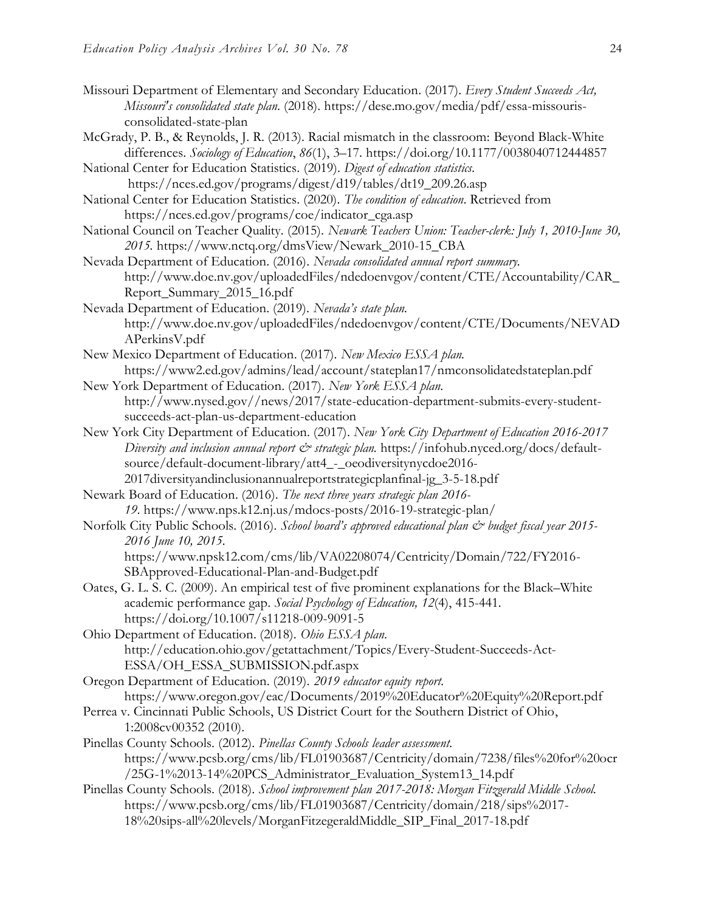- Missouri Department of Elementary and Secondary Education. (2017). *Every Student Succeeds Act, Missouri's consolidated state plan*. (2018). https://dese.mo.gov/media/pdf/essa-missourisconsolidated-state-plan
- McGrady, P. B., & Reynolds, J. R. (2013). Racial mismatch in the classroom: Beyond Black-White differences. *Sociology of Education*, *86*(1), 3–17.<https://doi.org/10.1177/0038040712444857>

National Center for Education Statistics. (2019). *Digest of education statistics.* [https://nces.ed.gov/programs/digest/d19/tables/dt19\\_209.26.asp](https://nces.ed.gov/programs/digest/d19/tables/dt19_209.26.asp)

- National Center for Education Statistics. (2020). *The condition of education*. Retrieved from https://nces.ed.gov/programs/coe/indicator\_cga.asp
- National Council on Teacher Quality. (2015). *Newark Teachers Union: Teacher-clerk: July 1, 2010-June 30, 2015.* [https://www.nctq.org/dmsView/Newark\\_2010-15\\_CBA](https://www.nctq.org/dmsView/Newark_2010-15_CBA)
- Nevada Department of Education. (2016). *Nevada consolidated annual report summary.*  [http://www.doe.nv.gov/uploadedFiles/ndedoenvgov/content/CTE/Accountability/CAR\\_](http://www.doe.nv.gov/uploadedFiles/ndedoenvgov/content/CTE/Accountability/CAR_Report_Summary_2015_16.pdf) [Report\\_Summary\\_2015\\_16.pdf](http://www.doe.nv.gov/uploadedFiles/ndedoenvgov/content/CTE/Accountability/CAR_Report_Summary_2015_16.pdf)
- Nevada Department of Education. (2019). *Nevada's state plan.*  [http://www.doe.nv.gov/uploadedFiles/ndedoenvgov/content/CTE/Documents/NEVAD](http://www.doe.nv.gov/uploadedFiles/ndedoenvgov/content/CTE/Documents/NEVADAPerkinsV.pdf) [APerkinsV.pdf](http://www.doe.nv.gov/uploadedFiles/ndedoenvgov/content/CTE/Documents/NEVADAPerkinsV.pdf)
- New Mexico Department of Education. (2017). *New Mexico ESSA plan.*  <https://www2.ed.gov/admins/lead/account/stateplan17/nmconsolidatedstateplan.pdf>
- New York Department of Education. (2017). *New York ESSA plan*. http://www.nysed.gov//news/2017/state-education-department-submits-every-studentsucceeds-act-plan-us-department-education
- New York City Department of Education. (2017). *New York City Department of Education 2016-2017 Diversity and inclusion annual report*  $\mathcal{C}^*$  *strategic plan.* [https://infohub.nyced.org/docs/default](https://infohub.nyced.org/docs/default-source/default-document-library/att4_-_oeodiversitynycdoe2016-2017diversityandinclusionannualreportstrategicplanfinal-jg_3-5-18.pdf)source/default-document-library/att4 - oeodiversitynycdoe2016-[2017diversityandinclusionannualreportstrategicplanfinal-jg\\_3-5-18.pdf](https://infohub.nyced.org/docs/default-source/default-document-library/att4_-_oeodiversitynycdoe2016-2017diversityandinclusionannualreportstrategicplanfinal-jg_3-5-18.pdf)
- Newark Board of Education. (2016). *The next three years strategic plan 2016- 19*. <https://www.nps.k12.nj.us/mdocs-posts/2016-19-strategic-plan/>
- Norfolk City Public Schools. (2016). *School board's [approved educational plan & budget fiscal year 2015-](http://nitro2.cs.gsu.edu:5050/meeting_minutes/school/5102670/FY2016-SBApproved-Educational-Plan-and-Budget.pdf) [2016 June 10, 2015.](http://nitro2.cs.gsu.edu:5050/meeting_minutes/school/5102670/FY2016-SBApproved-Educational-Plan-and-Budget.pdf)*  [https://www.npsk12.com/cms/lib/VA02208074/Centricity/Domain/722/FY2016-](https://www.npsk12.com/cms/lib/VA02208074/Centricity/Domain/722/FY2016-SBApproved-Educational-Plan-and-Budget.pdf)
- [SBApproved-Educational-Plan-and-Budget.pdf](https://www.npsk12.com/cms/lib/VA02208074/Centricity/Domain/722/FY2016-SBApproved-Educational-Plan-and-Budget.pdf) Oates, G. L. S. C. (2009). An empirical test of five prominent explanations for the Black–White
	- academic performance gap. *Social Psychology of Education, 12*(4), 415-441. https://doi.org/10.1007/s11218-009-9091-5
- Ohio Department of Education. (2018). *Ohio ESSA plan*. [http://education.ohio.gov/getattachment/Topics/Every-Student-Succeeds-Act-](http://education.ohio.gov/getattachment/Topics/Every-Student-Succeeds-Act-ESSA/OH_ESSA_SUBMISSION.pdf.aspx)[ESSA/OH\\_ESSA\\_SUBMISSION.pdf.aspx](http://education.ohio.gov/getattachment/Topics/Every-Student-Succeeds-Act-ESSA/OH_ESSA_SUBMISSION.pdf.aspx)
- Oregon Department of Education. (2019). *2019 educator equity report.*  <https://www.oregon.gov/eac/Documents/2019%20Educator%20Equity%20Report.pdf>
- Perrea v. Cincinnati Public Schools, US District Court for the Southern District of Ohio, 1:2008cv00352 (2010).
- Pinellas County Schools. (2012). *Pinellas County Schools leader assessment.*  [https://www.pcsb.org/cms/lib/FL01903687/Centricity/domain/7238/files%20for%20ocr](https://www.pcsb.org/cms/lib/FL01903687/Centricity/domain/7238/files%20for%20ocr/25G-1%2013-14%20PCS_Administrator_Evaluation_System13_14.pdf) [/25G-1%2013-14%20PCS\\_Administrator\\_Evaluation\\_System13\\_14.pdf](https://www.pcsb.org/cms/lib/FL01903687/Centricity/domain/7238/files%20for%20ocr/25G-1%2013-14%20PCS_Administrator_Evaluation_System13_14.pdf)
- Pinellas County Schools. (2018). *School improvement plan 2017-2018: Morgan Fitzgerald Middle School.*  [https://www.pcsb.org/cms/lib/FL01903687/Centricity/domain/218/sips%2017-](https://www.pcsb.org/cms/lib/FL01903687/Centricity/domain/218/sips%2017-18%20sips-all%20levels/MorganFitzegeraldMiddle_SIP_Final_2017-18.pdf) [18%20sips-all%20levels/MorganFitzegeraldMiddle\\_SIP\\_Final\\_2017-18.pdf](https://www.pcsb.org/cms/lib/FL01903687/Centricity/domain/218/sips%2017-18%20sips-all%20levels/MorganFitzegeraldMiddle_SIP_Final_2017-18.pdf)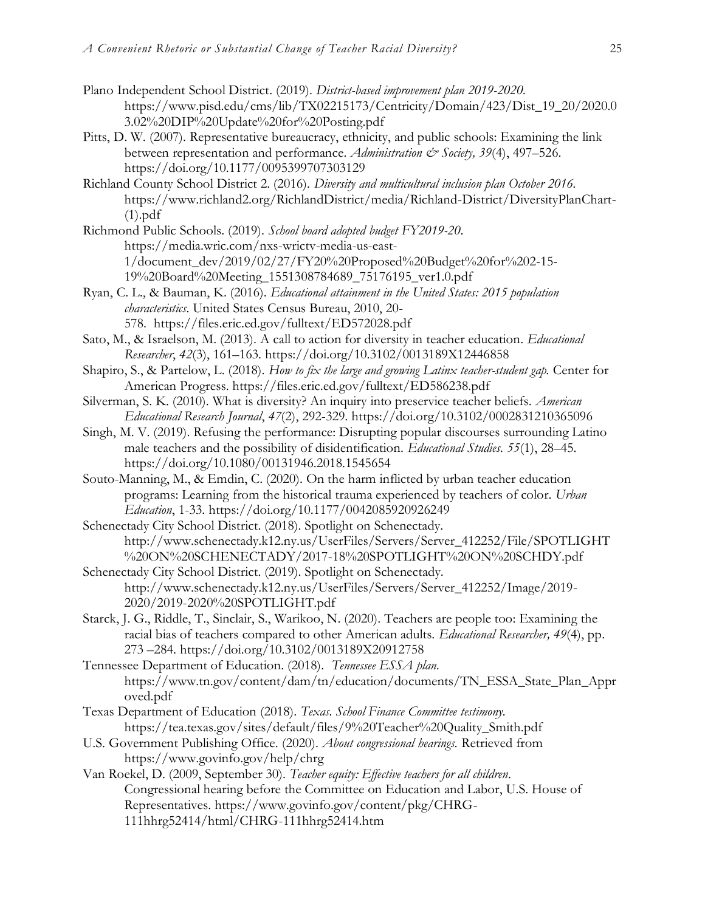- Plano Independent School District. (2019). *District-based improvement plan 2019-2020.*  [https://www.pisd.edu/cms/lib/TX02215173/Centricity/Domain/423/Dist\\_19\\_20/2020.0](https://www.pisd.edu/cms/lib/TX02215173/Centricity/Domain/423/Dist_19_20/2020.03.02%20DIP%20Update%20for%20Posting.pdf) [3.02%20DIP%20Update%20for%20Posting.pdf](https://www.pisd.edu/cms/lib/TX02215173/Centricity/Domain/423/Dist_19_20/2020.03.02%20DIP%20Update%20for%20Posting.pdf)
- Pitts, D. W. (2007). Representative bureaucracy, ethnicity, and public schools: Examining the link between representation and performance. *Administration & Society, 39*(4), 497–526. https://doi.org/10.1177/0095399707303129
- Richland County School District 2. (2016). *Diversity and multicultural inclusion plan October 2016.*  [https://www.richland2.org/RichlandDistrict/media/Richland-District/DiversityPlanChart-](https://www.richland2.org/RichlandDistrict/media/Richland-District/DiversityPlanChart-(1).pdf)  $(1).pdf$
- Richmond Public Schools. (2019). *School board adopted budget FY2019-20*. https://media.wric.com/nxs-wrictv-media-us-east-1/document\_dev/2019/02/27/FY20%20Proposed%20Budget%20for%202-15- 19%20Board%20Meeting\_1551308784689\_75176195\_ver1.0.pdf
- Ryan, C. L., & Bauman, K. (2016). *Educational attainment in the United States: 2015 population characteristics.* United States Census Bureau, 2010, 20- 578. <https://files.eric.ed.gov/fulltext/ED572028.pdf>
- Sato, M., & Israelson, M. (2013). A call to action for diversity in teacher education. *Educational Researcher*, *42*(3), 161–163. [https://doi.org/10.3102/0013189X12446858](https://doi.org/10.3102%2F0013189X12446858)
- Shapiro, S., & Partelow, L. (2018). *How to fix the large and growing Latinx teacher-student gap*. Center for American Progress. <https://files.eric.ed.gov/fulltext/ED586238.pdf>
- Silverman, S. K. (2010). What is diversity? An inquiry into preservice teacher beliefs. *American Educational Research Journal*, *47*(2), 292-329. [https://doi.org/10.3102/0002831210365096](https://doi.org/10.3102%2F0002831210365096)
- Singh, M. V. (2019). Refusing the performance: Disrupting popular discourses surrounding Latino male teachers and the possibility of disidentification. *Educational Studies. 55*(1), 28–45. <https://doi.org/10.1080/00131946.2018.1545654>
- Souto-Manning, M., & Emdin, C. (2020). On the harm inflicted by urban teacher education programs: Learning from the historical trauma experienced by teachers of color. *Urban Education*, 1-33. [https://doi.org/10.1177/0042085920926249](https://doi.org/10.1177%2F0042085920926249)
- Schenectady City School District. (2018). Spotlight on Schenectady. [http://www.schenectady.k12.ny.us/UserFiles/Servers/Server\\_412252/File/SPOTLIGHT](http://www.schenectady.k12.ny.us/UserFiles/Servers/Server_412252/File/SPOTLIGHT%20ON%20SCHENECTADY/2017-18%20SPOTLIGHT%20ON%20SCHDY.pdf) [%20ON%20SCHENECTADY/2017-18%20SPOTLIGHT%20ON%20SCHDY.pdf](http://www.schenectady.k12.ny.us/UserFiles/Servers/Server_412252/File/SPOTLIGHT%20ON%20SCHENECTADY/2017-18%20SPOTLIGHT%20ON%20SCHDY.pdf)
- Schenectady City School District. (2019). Spotlight on Schenectady. [http://www.schenectady.k12.ny.us/UserFiles/Servers/Server\\_412252/Image/2019-](http://www.schenectady.k12.ny.us/UserFiles/Servers/Server_412252/Image/2019-2020/2019-2020%20SPOTLIGHT.pdf) [2020/2019-2020%20SPOTLIGHT.pdf](http://www.schenectady.k12.ny.us/UserFiles/Servers/Server_412252/Image/2019-2020/2019-2020%20SPOTLIGHT.pdf)
- Starck, J. G., Riddle, T., Sinclair, S., Warikoo, N. (2020). Teachers are people too: Examining the racial bias of teachers compared to other American adults. *Educational Researcher, 49*(4), pp. 273 –284. [https://doi.org/10.3102/0013189X20912758](https://doi.org/10.3102%2F0013189X20912758)
- Tennessee Department of Education. (2018). *Tennessee ESSA plan*. [https://www.tn.gov/content/dam/tn/education/documents/TN\\_ESSA\\_State\\_Plan\\_Appr](https://www.tn.gov/content/dam/tn/education/documents/TN_ESSA_State_Plan_Approved.pdf) [oved.pdf](https://www.tn.gov/content/dam/tn/education/documents/TN_ESSA_State_Plan_Approved.pdf)
- Texas Department of Education (2018). *Texas. School Finance Committee testimony.*  [https://tea.texas.gov/sites/default/files/9%20Teacher%20Quality\\_Smith.pdf](https://tea.texas.gov/sites/default/files/9%20Teacher%20Quality_Smith.pdf)
- U.S. Government Publishing Office. (2020). *About congressional hearings.* Retrieved from https://www.govinfo.gov/help/chrg
- Van Roekel, D. (2009, September 30). *Teacher equity: Effective teachers for all children*. Congressional hearing before the Committee on Education and Labor, U.S. House of Representatives. [https://www.govinfo.gov/content/pkg/CHRG-](https://www.govinfo.gov/content/pkg/CHRG-111hhrg52414/html/CHRG-111hhrg52414.htm)[111hhrg52414/html/CHRG-111hhrg52414.htm](https://www.govinfo.gov/content/pkg/CHRG-111hhrg52414/html/CHRG-111hhrg52414.htm)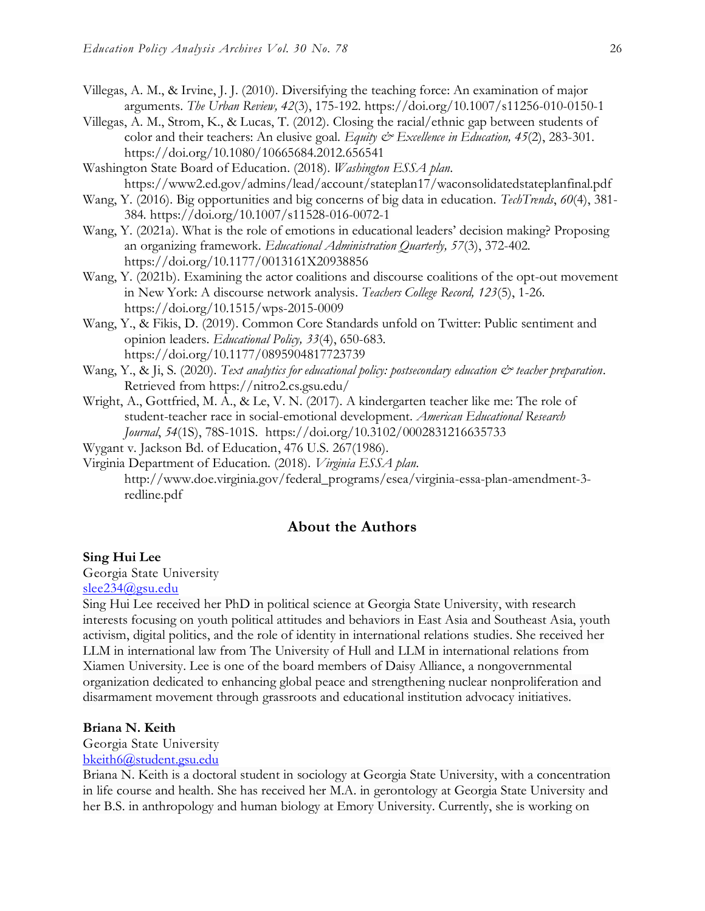- Villegas, A. M., & Irvine, J. J. (2010). Diversifying the teaching force: An examination of major arguments. *The Urban Review, 42*(3), 175-192.<https://doi.org/10.1007/s11256-010-0150-1>
- Villegas, A. M., Strom, K., & Lucas, T. (2012). Closing the racial/ethnic gap between students of color and their teachers: An elusive goal. *Equity & Excellence in Education, 45*(2), 283-301. https://doi.org/10.1080/10665684.2012.656541
- Washington State Board of Education. (2018). *Washington ESSA plan*. https://www2.ed.gov/admins/lead/account/stateplan17/waconsolidatedstateplanfinal.pdf
- Wang, Y. (2016). Big opportunities and big concerns of big data in education. *TechTrends*, *60*(4), 381- 384*.* https://doi.org/10.1007/s11528-016-0072-1
- Wang, Y. (2021a). What is the role of emotions in educational leaders' decision making? Proposing an organizing framework. *Educational Administration Quarterly, 57*(3), 372-402*.*  https://doi.org/10.1177/0013161X20938856
- Wang, Y. (2021b). [Examining the actor coalitions and discourse coalitions of the opt-out movement](https://www.tcrecord.org/Content.asp?ContentId=23627)  [in New York: A discourse network analysis.](https://www.tcrecord.org/Content.asp?ContentId=23627) *Teachers College Record, 123*(5), 1-26. https://doi.org/10.1515/wps-2015-0009
- Wang, Y., & Fikis, D. (2019). Common Core Standards unfold on Twitter: Public sentiment and opinion leaders. *Educational Policy, 33*(4), 650-683. https://doi.org/10.1177/0895904817723739
- Wang, Y., & Ji, S. (2020). *Text analytics for educational policy: postsecondary education*  $\dot{\mathcal{C}}$  *teacher preparation.* Retrieved from https://nitro2.cs.gsu.edu/
- Wright, A., Gottfried, M. A., & Le, V. N. (2017). A kindergarten teacher like me: The role of student-teacher race in social-emotional development. *American Educational Research Journal*, *54*(1S), 78S-101S. [https://doi.org/10.3102/0002831216635733](https://doi.org/10.3102%2F0002831216635733)
- Wygant v. Jackson Bd. of Education, 476 U.S. 267(1986).
- Virginia Department of Education. (2018). *Virginia ESSA plan*. [http://www.doe.virginia.gov/federal\\_programs/esea/virginia-essa-plan-amendment-3](http://www.doe.virginia.gov/federal_programs/esea/virginia-essa-plan-amendment-3-redline.pdf) [redline.pdf](http://www.doe.virginia.gov/federal_programs/esea/virginia-essa-plan-amendment-3-redline.pdf)

# **About the Authors**

#### **Sing Hui Lee**

Georgia State University

[slee234@gsu.edu](mailto:slee234@gsu.edu)

Sing Hui Lee received her PhD in political science at Georgia State University, with research interests focusing on youth political attitudes and behaviors in East Asia and Southeast Asia, youth activism, digital politics, and the role of identity in international relations studies. She received her LLM in international law from The University of Hull and LLM in international relations from Xiamen University. Lee is one of the board members of Daisy Alliance, a nongovernmental organization dedicated to enhancing global peace and strengthening nuclear nonproliferation and disarmament movement through grassroots and educational institution advocacy initiatives.

#### **Briana N. Keith**

#### Georgia State University

[bkeith6@student.gsu.edu](mailto:bkeith6@student.gsu.edu)

Briana N. Keith is a doctoral student in sociology at Georgia State University, with a concentration in life course and health. She has received her M.A. in gerontology at Georgia State University and her B.S. in anthropology and human biology at Emory University. Currently, she is working on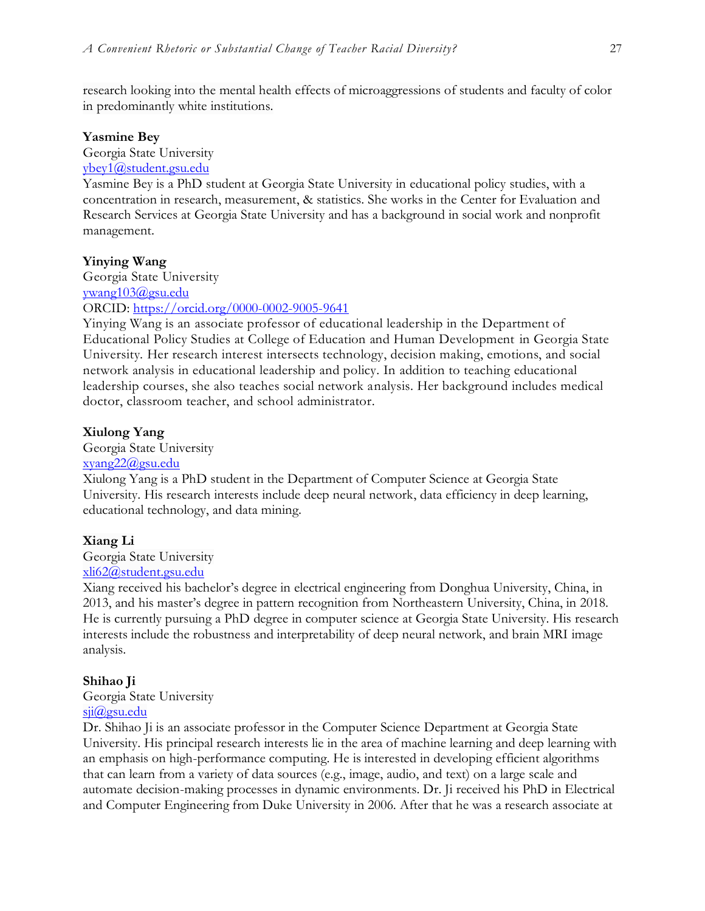research looking into the mental health effects of microaggressions of students and faculty of color in predominantly white institutions.

#### **Yasmine Bey**

Georgia State University

### [ybey1@student.gsu.edu](mailto:ybey1@student.gsu.edu)

Yasmine Bey is a PhD student at Georgia State University in educational policy studies, with a concentration in research, measurement, & statistics. She works in the Center for Evaluation and Research Services at Georgia State University and has a background in social work and nonprofit management.

#### **Yinying Wang**

Georgia State University [ywang103@gsu.edu](mailto:ywang103@gsu.edu) ORCID:<https://orcid.org/0000-0002-9005-9641>

Yinying Wang is an associate professor of educational leadership in the Department of Educational Policy Studies at College of Education and Human Development in Georgia State University. Her research interest intersects technology, decision making, emotions, and social network analysis in educational leadership and policy. In addition to teaching educational leadership courses, she also teaches social network analysis. Her background includes medical doctor, classroom teacher, and school administrator.

#### **Xiulong Yang**

Georgia State University

## [xyang22@gsu.edu](mailto:xyang22@gsu.edu)

Xiulong Yang is a PhD student in the Department of Computer Science at Georgia State University. His research interests include deep neural network, data efficiency in deep learning, educational technology, and data mining.

#### **Xiang Li**

Georgia State University

#### [xli62@student.gsu.edu](mailto:xli62@student.gsu.edu)

Xiang received his bachelor's degree in electrical engineering from Donghua University, China, in 2013, and his master's degree in pattern recognition from Northeastern University, China, in 2018. He is currently pursuing a PhD degree in computer science at Georgia State University. His research interests include the robustness and interpretability of deep neural network, and brain MRI image analysis.

#### **Shihao Ji**

Georgia State University

# [sji@gsu.edu](mailto:sji@gsu.edu)

Dr. Shihao Ji is an associate professor in the Computer Science Department at Georgia State University. His principal research interests lie in the area of machine learning and deep learning with an emphasis on high-performance computing. He is interested in developing efficient algorithms that can learn from a variety of data sources (e.g., image, audio, and text) on a large scale and automate decision-making processes in dynamic environments. Dr. Ji received his PhD in Electrical and Computer Engineering from Duke University in 2006. After that he was a research associate at